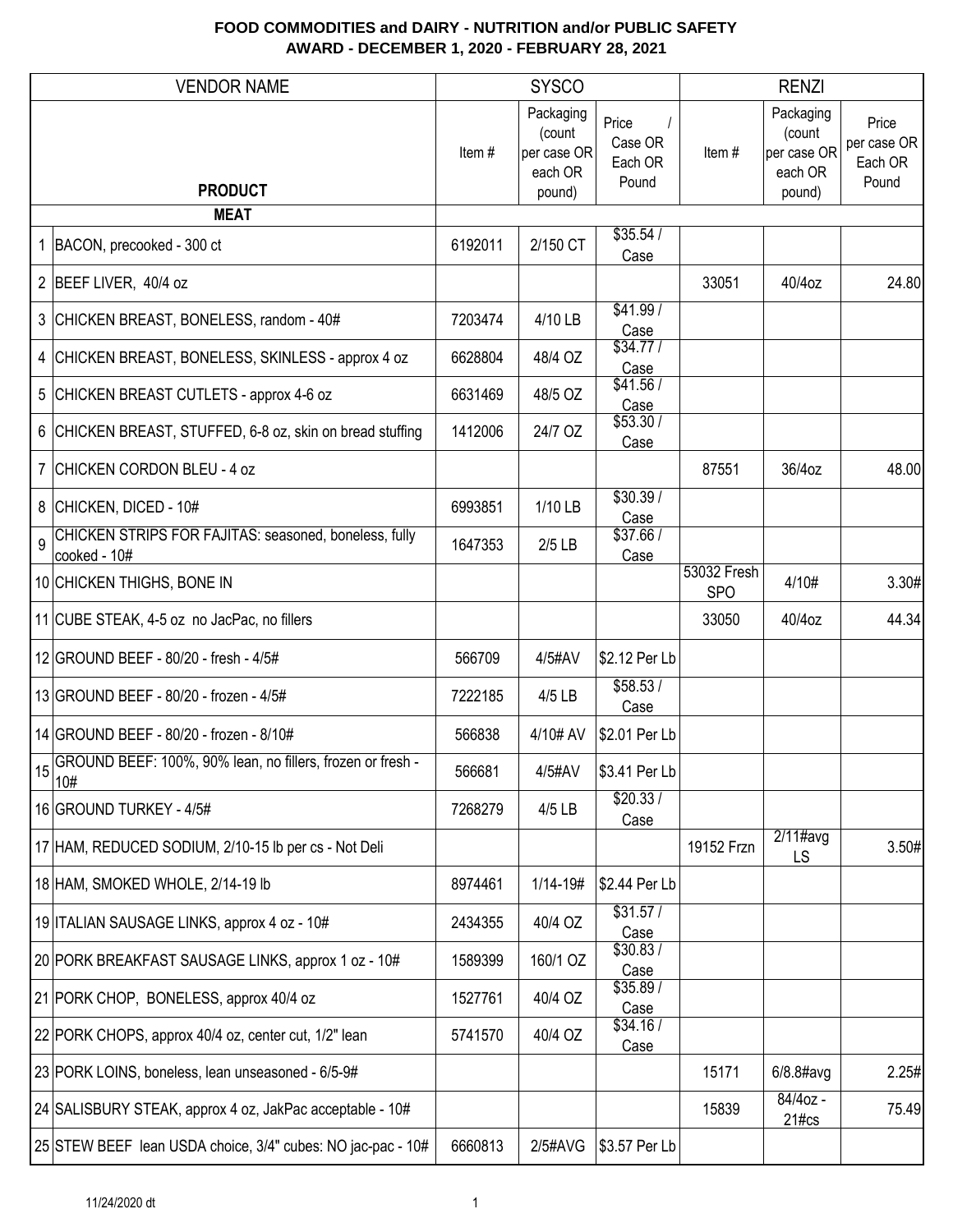|    | <b>VENDOR NAME</b>                                                    |         | <b>SYSCO</b>                                            |                                      |                           | <b>RENZI</b>                                            |                                          |
|----|-----------------------------------------------------------------------|---------|---------------------------------------------------------|--------------------------------------|---------------------------|---------------------------------------------------------|------------------------------------------|
|    | <b>PRODUCT</b>                                                        | Item#   | Packaging<br>(count<br>per case OR<br>each OR<br>pound) | Price<br>Case OR<br>Each OR<br>Pound | Item#                     | Packaging<br>(count<br>per case OR<br>each OR<br>pound) | Price<br>per case OR<br>Each OR<br>Pound |
|    | <b>MEAT</b>                                                           |         |                                                         |                                      |                           |                                                         |                                          |
|    | 1 BACON, precooked - 300 ct                                           | 6192011 | 2/150 CT                                                | \$35.54/<br>Case                     |                           |                                                         |                                          |
|    | 2 BEEF LIVER, 40/4 oz                                                 |         |                                                         |                                      | 33051                     | 40/4oz                                                  | 24.80                                    |
|    | 3 CHICKEN BREAST, BONELESS, random - 40#                              | 7203474 | 4/10 LB                                                 | \$41.99/<br>Case                     |                           |                                                         |                                          |
|    | 4 CHICKEN BREAST, BONELESS, SKINLESS - approx 4 oz                    | 6628804 | 48/4 OZ                                                 | \$34.77/<br>Case                     |                           |                                                         |                                          |
|    | 5 CHICKEN BREAST CUTLETS - approx 4-6 oz                              | 6631469 | 48/5 OZ                                                 | \$41.56/<br>Case                     |                           |                                                         |                                          |
|    | 6 CHICKEN BREAST, STUFFED, 6-8 oz, skin on bread stuffing             | 1412006 | 24/7 OZ                                                 | \$53.30/<br>Case                     |                           |                                                         |                                          |
|    | 7 CHICKEN CORDON BLEU - 4 oz                                          |         |                                                         |                                      | 87551                     | 36/4oz                                                  | 48.00                                    |
|    | 8 CHICKEN, DICED - 10#                                                | 6993851 | 1/10 LB                                                 | \$30.39/<br>Case                     |                           |                                                         |                                          |
| 9  | CHICKEN STRIPS FOR FAJITAS: seasoned, boneless, fully<br>cooked - 10# | 1647353 | $2/5$ LB                                                | \$37.66/<br>Case                     |                           |                                                         |                                          |
|    | 10 CHICKEN THIGHS, BONE IN                                            |         |                                                         |                                      | 53032 Fresh<br><b>SPO</b> | 4/10#                                                   | 3.30#                                    |
|    | 11 CUBE STEAK, 4-5 oz no JacPac, no fillers                           |         |                                                         |                                      | 33050                     | 40/4oz                                                  | 44.34                                    |
|    | 12 GROUND BEEF - 80/20 - fresh - 4/5#                                 | 566709  | 4/5#AV                                                  | \$2.12 Per Lb                        |                           |                                                         |                                          |
|    | 13 GROUND BEEF - 80/20 - frozen - 4/5#                                | 7222185 | 4/5 LB                                                  | \$58.53/<br>Case                     |                           |                                                         |                                          |
|    | 14 GROUND BEEF - 80/20 - frozen - 8/10#                               | 566838  | 4/10# AV                                                | \$2.01 Per Lb                        |                           |                                                         |                                          |
| 15 | GROUND BEEF: 100%, 90% lean, no fillers, frozen or fresh -<br>10#     | 566681  | 4/5#AV                                                  | \$3.41 Per Lb                        |                           |                                                         |                                          |
|    | 16 GROUND TURKEY - 4/5#                                               | 7268279 | 4/5 LB                                                  | \$20.33/<br>Case                     |                           |                                                         |                                          |
|    | 17 HAM, REDUCED SODIUM, 2/10-15 lb per cs - Not Deli                  |         |                                                         |                                      | 19152 Frzn                | $2/11$ #avg<br>LS                                       | 3.50#                                    |
|    | 18 HAM, SMOKED WHOLE, 2/14-19 lb                                      | 8974461 | 1/14-19#                                                | \$2.44 Per Lb                        |                           |                                                         |                                          |
|    | 19 ITALIAN SAUSAGE LINKS, approx 4 oz - 10#                           | 2434355 | 40/4 OZ                                                 | \$31.57/<br>Case                     |                           |                                                         |                                          |
|    | 20 PORK BREAKFAST SAUSAGE LINKS, approx 1 oz - 10#                    | 1589399 | 160/1 OZ                                                | \$30.83/<br>Case                     |                           |                                                         |                                          |
|    | 21 PORK CHOP, BONELESS, approx 40/4 oz                                | 1527761 | 40/4 OZ                                                 | \$35.89/<br>Case                     |                           |                                                         |                                          |
|    | 22 PORK CHOPS, approx 40/4 oz, center cut, 1/2" lean                  | 5741570 | 40/4 OZ                                                 | \$34.16/<br>Case                     |                           |                                                         |                                          |
|    | 23 PORK LOINS, boneless, lean unseasoned - 6/5-9#                     |         |                                                         |                                      | 15171                     | $6/8.8$ #avg                                            | 2.25#                                    |
|    | 24 SALISBURY STEAK, approx 4 oz, JakPac acceptable - 10#              |         |                                                         |                                      | 15839                     | 84/4oz -<br>$21\#cs$                                    | 75.49                                    |
|    | 25 STEW BEEF lean USDA choice, 3/4" cubes: NO jac-pac - 10#           | 6660813 | 2/5#AVG                                                 | \$3.57 Per Lb                        |                           |                                                         |                                          |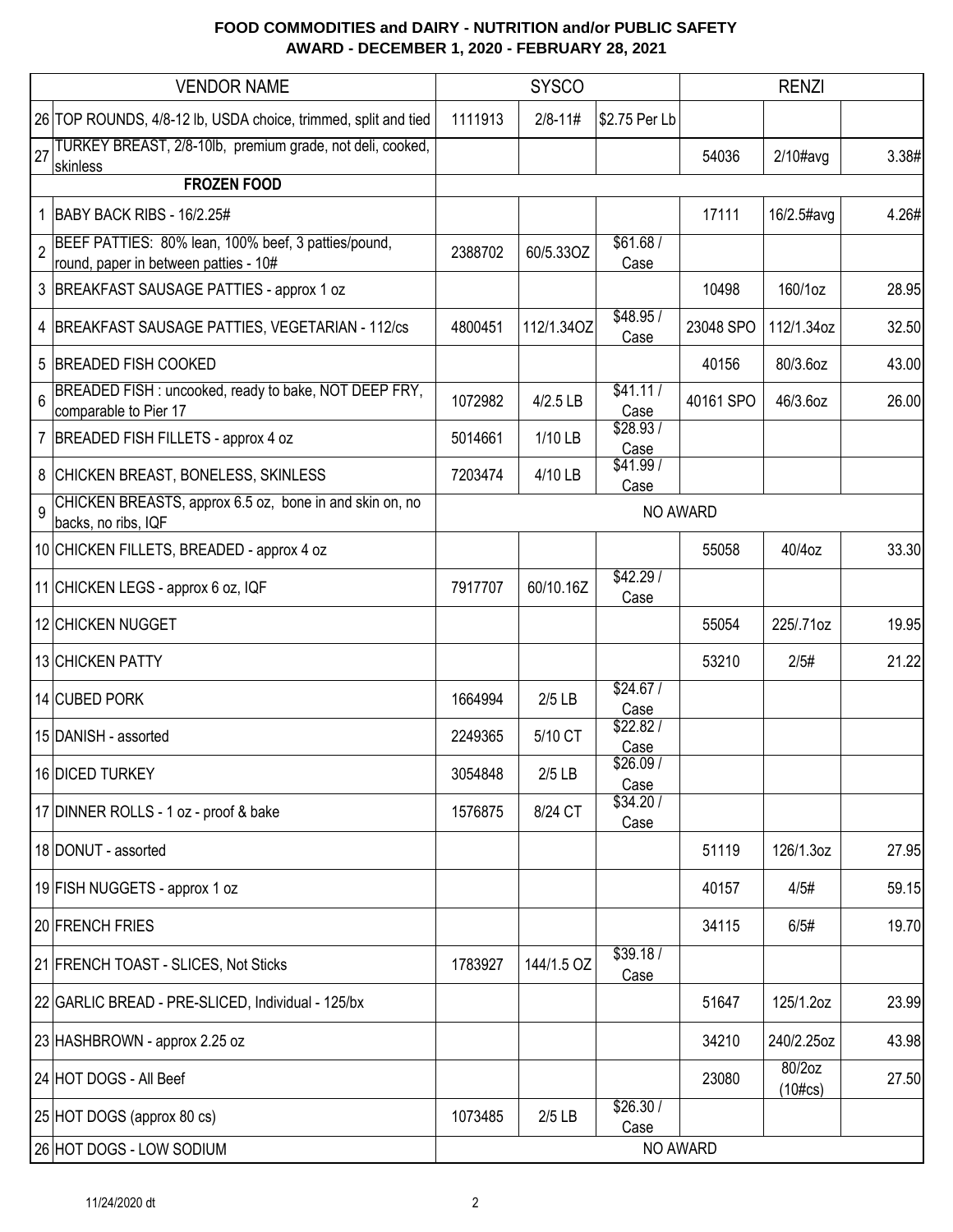| <b>VENDOR NAME</b>                                                                           |         | <b>SYSCO</b> |                   | <b>RENZI</b> |                               |       |
|----------------------------------------------------------------------------------------------|---------|--------------|-------------------|--------------|-------------------------------|-------|
| 26 TOP ROUNDS, 4/8-12 lb, USDA choice, trimmed, split and tied                               | 1111913 | $2/8 - 11#$  | \$2.75 Per Lb     |              |                               |       |
| TURKEY BREAST, 2/8-10lb, premium grade, not deli, cooked,<br>27                              |         |              |                   | 54036        | $2/10\#avg$                   | 3.38# |
| skinless<br><b>FROZEN FOOD</b>                                                               |         |              |                   |              |                               |       |
| 1   BABY BACK RIBS - 16/2.25#                                                                |         |              |                   | 17111        | 16/2.5#avg                    | 4.26# |
| BEEF PATTIES: 80% lean, 100% beef, 3 patties/pound,<br>round, paper in between patties - 10# | 2388702 | 60/5.33OZ    | \$61.68/<br>Case  |              |                               |       |
| 3 BREAKFAST SAUSAGE PATTIES - approx 1 oz                                                    |         |              |                   | 10498        | 160/1oz                       | 28.95 |
| 4 BREAKFAST SAUSAGE PATTIES, VEGETARIAN - 112/cs                                             | 4800451 | 112/1.34OZ   | \$48.95/<br>Case  | 23048 SPO    | 112/1.34oz                    | 32.50 |
| 5 BREADED FISH COOKED                                                                        |         |              |                   | 40156        | 80/3.6oz                      | 43.00 |
| BREADED FISH: uncooked, ready to bake, NOT DEEP FRY,<br>comparable to Pier 17                | 1072982 | 4/2.5 LB     | \$41.11/<br>Case  | 40161 SPO    | 46/3.6oz                      | 26.00 |
| 7   BREADED FISH FILLETS - approx 4 oz                                                       | 5014661 | 1/10 LB      | \$28.93/<br>Case  |              |                               |       |
| 8 CHICKEN BREAST, BONELESS, SKINLESS                                                         | 7203474 | 4/10 LB      | \$41.99/<br>Case  |              |                               |       |
| CHICKEN BREASTS, approx 6.5 oz, bone in and skin on, no<br>9<br>backs, no ribs, IQF          |         |              | NO AWARD          |              |                               |       |
| 10 CHICKEN FILLETS, BREADED - approx 4 oz                                                    |         |              |                   | 55058        | 40/4oz                        | 33.30 |
| 11 CHICKEN LEGS - approx 6 oz, IQF                                                           | 7917707 | 60/10.16Z    | \$42.29/<br>Case  |              |                               |       |
| 12 CHICKEN NUGGET                                                                            |         |              |                   | 55054        | 225/.71oz                     | 19.95 |
| 13 CHICKEN PATTY                                                                             |         |              |                   | 53210        | 2/5#                          | 21.22 |
| 14 CUBED PORK                                                                                | 1664994 | $2/5$ LB     | \$24.67/<br>Case  |              |                               |       |
| 15 DANISH - assorted                                                                         | 2249365 | 5/10 CT      | \$22.82/<br>Case  |              |                               |       |
| 16 DICED TURKEY                                                                              | 3054848 | $2/5$ LB     | \$26.09/<br>Case  |              |                               |       |
| 17 DINNER ROLLS - 1 oz - proof & bake                                                        | 1576875 | 8/24 CT      | \$34.20 /<br>Case |              |                               |       |
| 18 DONUT - assorted                                                                          |         |              |                   | 51119        | 126/1.3oz                     | 27.95 |
| 19 FISH NUGGETS - approx 1 oz                                                                |         |              |                   | 40157        | 4/5#                          | 59.15 |
| 20 FRENCH FRIES                                                                              |         |              |                   | 34115        | 6/5#                          | 19.70 |
| 21 FRENCH TOAST - SLICES, Not Sticks                                                         | 1783927 | 144/1.5 OZ   | \$39.18/<br>Case  |              |                               |       |
| 22 GARLIC BREAD - PRE-SLICED, Individual - 125/bx                                            |         |              |                   | 51647        | 125/1.2oz                     | 23.99 |
| 23 HASHBROWN - approx 2.25 oz                                                                |         |              |                   | 34210        | 240/2.25oz                    | 43.98 |
| 24 HOT DOGS - All Beef                                                                       |         |              |                   | 23080        | 80/2oz<br>$(10 \# \text{cs})$ | 27.50 |
| 25 HOT DOGS (approx 80 cs)                                                                   | 1073485 | $2/5$ LB     | \$26.30/<br>Case  |              |                               |       |
| 26 HOT DOGS - LOW SODIUM                                                                     |         |              | NO AWARD          |              |                               |       |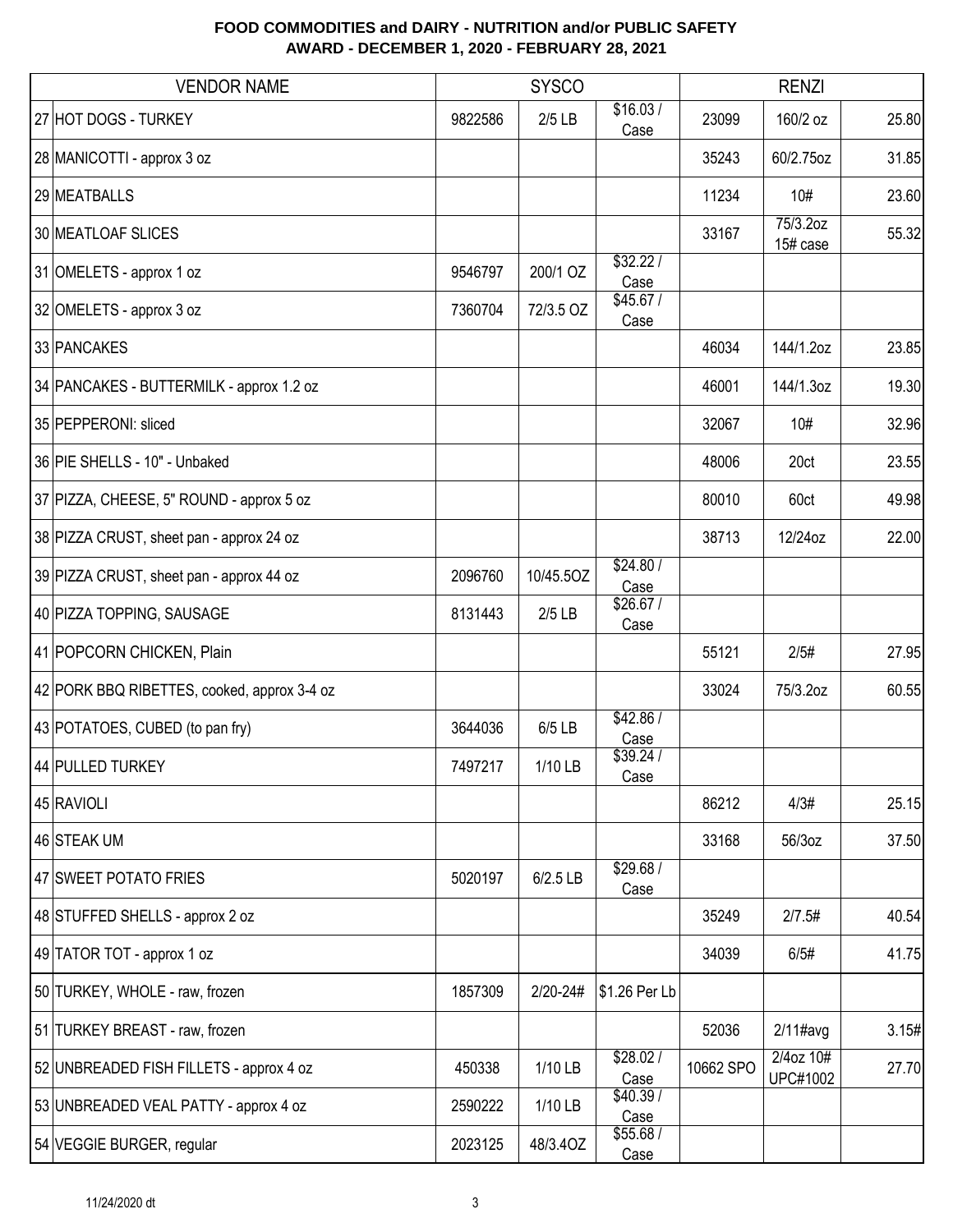| <b>VENDOR NAME</b>                          | <b>SYSCO</b> |            |                   | <b>RENZI</b> |                              |       |
|---------------------------------------------|--------------|------------|-------------------|--------------|------------------------------|-------|
| 27 HOT DOGS - TURKEY                        | 9822586      | $2/5$ LB   | \$16.03/<br>Case  | 23099        | 160/2 oz                     | 25.80 |
| 28 MANICOTTI - approx 3 oz                  |              |            |                   | 35243        | 60/2.75oz                    | 31.85 |
| 29 MEATBALLS                                |              |            |                   | 11234        | 10#                          | 23.60 |
| 30 MEATLOAF SLICES                          |              |            |                   | 33167        | 75/3.2oz<br>15# case         | 55.32 |
| 31 OMELETS - approx 1 oz                    | 9546797      | 200/1 OZ   | 332.22/<br>Case   |              |                              |       |
| 32 OMELETS - approx 3 oz                    | 7360704      | 72/3.5 OZ  | \$45.67/<br>Case  |              |                              |       |
| 33 PANCAKES                                 |              |            |                   | 46034        | 144/1.2oz                    | 23.85 |
| 34 PANCAKES - BUTTERMILK - approx 1.2 oz    |              |            |                   | 46001        | 144/1.3oz                    | 19.30 |
| 35 PEPPERONI: sliced                        |              |            |                   | 32067        | 10#                          | 32.96 |
| 36 PIE SHELLS - 10" - Unbaked               |              |            |                   | 48006        | 20ct                         | 23.55 |
| 37 PIZZA, CHEESE, 5" ROUND - approx 5 oz    |              |            |                   | 80010        | 60ct                         | 49.98 |
| 38 PIZZA CRUST, sheet pan - approx 24 oz    |              |            |                   | 38713        | 12/24oz                      | 22.00 |
| 39 PIZZA CRUST, sheet pan - approx 44 oz    | 2096760      | 10/45.5OZ  | \$24.80/<br>Case  |              |                              |       |
| 40 PIZZA TOPPING, SAUSAGE                   | 8131443      | $2/5$ LB   | \$26.67/<br>Case  |              |                              |       |
| 41 POPCORN CHICKEN, Plain                   |              |            |                   | 55121        | 2/5#                         | 27.95 |
| 42 PORK BBQ RIBETTES, cooked, approx 3-4 oz |              |            |                   | 33024        | 75/3.2oz                     | 60.55 |
| 43 POTATOES, CUBED (to pan fry)             | 3644036      | 6/5 LB     | \$42.86/<br>Case  |              |                              |       |
| 44 PULLED TURKEY                            | 7497217      | 1/10 LB    | \$39.24 /<br>Case |              |                              |       |
| 45 RAVIOLI                                  |              |            |                   | 86212        | 4/3#                         | 25.15 |
| 46 STEAK UM                                 |              |            |                   | 33168        | 56/3oz                       | 37.50 |
| 47 SWEET POTATO FRIES                       | 5020197      | $6/2.5$ LB | \$29.68/<br>Case  |              |                              |       |
| 48 STUFFED SHELLS - approx 2 oz             |              |            |                   | 35249        | 2/7.5#                       | 40.54 |
| 49 TATOR TOT - approx 1 oz                  |              |            |                   | 34039        | 6/5#                         | 41.75 |
| 50 TURKEY, WHOLE - raw, frozen              | 1857309      | 2/20-24#   | \$1.26 Per Lb     |              |                              |       |
| 51 TURKEY BREAST - raw, frozen              |              |            |                   | 52036        | $2/11$ #avg                  | 3.15# |
| 52 UNBREADED FISH FILLETS - approx 4 oz     | 450338       | 1/10 LB    | \$28.02/<br>Case  | 10662 SPO    | 2/4oz 10#<br><b>UPC#1002</b> | 27.70 |
| 53 UNBREADED VEAL PATTY - approx 4 oz       | 2590222      | 1/10 LB    | \$40.39/<br>Case  |              |                              |       |
| 54 VEGGIE BURGER, regular                   | 2023125      | 48/3.40Z   | \$55.68/<br>Case  |              |                              |       |
|                                             |              |            |                   |              |                              |       |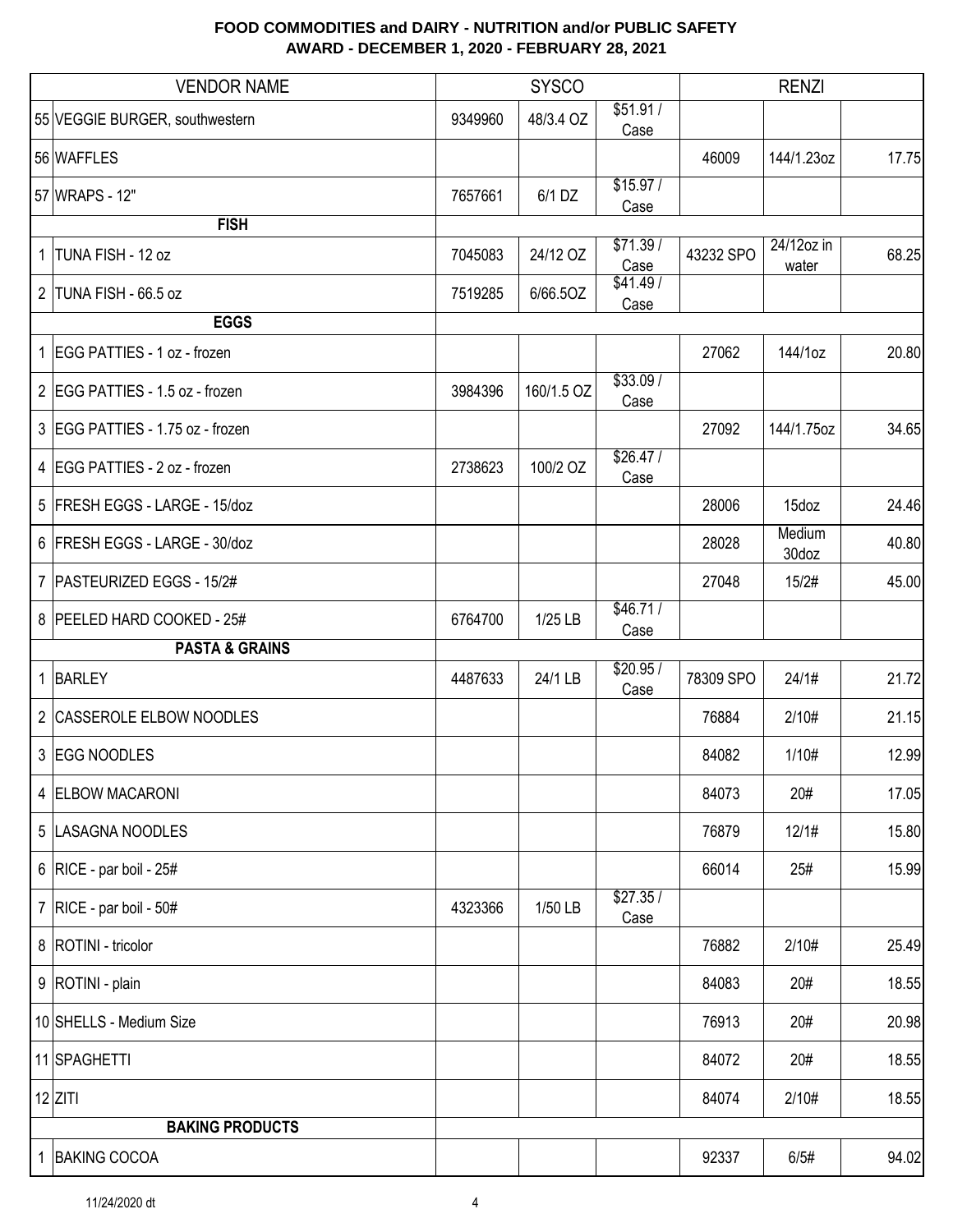|                | <b>VENDOR NAME</b>               |         | <b>SYSCO</b> |                   |           | <b>RENZI</b>        |       |
|----------------|----------------------------------|---------|--------------|-------------------|-----------|---------------------|-------|
|                | 55 VEGGIE BURGER, southwestern   | 9349960 | 48/3.4 OZ    | \$51.91/<br>Case  |           |                     |       |
|                | 56 WAFFLES                       |         |              |                   | 46009     | 144/1.23oz          | 17.75 |
|                | 57 WRAPS - 12"                   | 7657661 | $6/1$ DZ     | \$15.97/<br>Case  |           |                     |       |
|                | <b>FISH</b>                      |         |              |                   |           |                     |       |
| 1 <sup>1</sup> | TUNA FISH - 12 oz                | 7045083 | 24/12 OZ     | \$71.39/<br>Case  | 43232 SPO | 24/12oz in<br>water | 68.25 |
|                | 2 TUNA FISH - 66.5 oz            | 7519285 | 6/66.50Z     | \$41.49/<br>Case  |           |                     |       |
|                | <b>EGGS</b>                      |         |              |                   |           |                     |       |
|                | 1 EGG PATTIES - 1 oz - frozen    |         |              |                   | 27062     | 144/1oz             | 20.80 |
|                | 2 EGG PATTIES - 1.5 oz - frozen  | 3984396 | 160/1.5 OZ   | \$33.09/<br>Case  |           |                     |       |
|                | 3 EGG PATTIES - 1.75 oz - frozen |         |              |                   | 27092     | 144/1.75oz          | 34.65 |
|                | 4 EGG PATTIES - 2 oz - frozen    | 2738623 | 100/2 OZ     | \$26.47/<br>Case  |           |                     |       |
|                | 5 FRESH EGGS - LARGE - 15/doz    |         |              |                   | 28006     | 15doz               | 24.46 |
|                | 6 FRESH EGGS - LARGE - 30/doz    |         |              |                   | 28028     | Medium<br>30doz     | 40.80 |
|                | 7   PASTEURIZED EGGS - 15/2#     |         |              |                   | 27048     | 15/2#               | 45.00 |
|                | 8 PEELED HARD COOKED - 25#       | 6764700 | 1/25 LB      | \$46.71/<br>Case  |           |                     |       |
|                | <b>PASTA &amp; GRAINS</b>        |         |              |                   |           |                     |       |
|                | 1 BARLEY                         | 4487633 | 24/1 LB      | \$20.95 /<br>Case | 78309 SPO | 24/1#               | 21.72 |
|                | 2 CASSEROLE ELBOW NOODLES        |         |              |                   | 76884     | 2/10#               | 21.15 |
|                | 3 EGG NOODLES                    |         |              |                   | 84082     | 1/10#               | 12.99 |
|                | 4 ELBOW MACARONI                 |         |              |                   | 84073     | 20#                 | 17.05 |
|                | 5  LASAGNA NOODLES               |         |              |                   | 76879     | 12/1#               | 15.80 |
|                | 6   RICE - par boil - $25#$      |         |              |                   | 66014     | 25#                 | 15.99 |
|                | 7   RICE - par boil - $50#$      | 4323366 | 1/50 LB      | \$27.35/<br>Case  |           |                     |       |
|                | 8   ROTINI - tricolor            |         |              |                   | 76882     | 2/10#               | 25.49 |
|                | 9   ROTINI - plain               |         |              |                   | 84083     | 20#                 | 18.55 |
|                | 10 SHELLS - Medium Size          |         |              |                   | 76913     | 20#                 | 20.98 |
|                | 11 SPAGHETTI                     |         |              |                   | 84072     | 20#                 | 18.55 |
|                | $12$ ZITI                        |         |              |                   | 84074     | 2/10#               | 18.55 |
|                | <b>BAKING PRODUCTS</b>           |         |              |                   |           |                     |       |
|                | 1 BAKING COCOA                   |         |              |                   | 92337     | 6/5#                | 94.02 |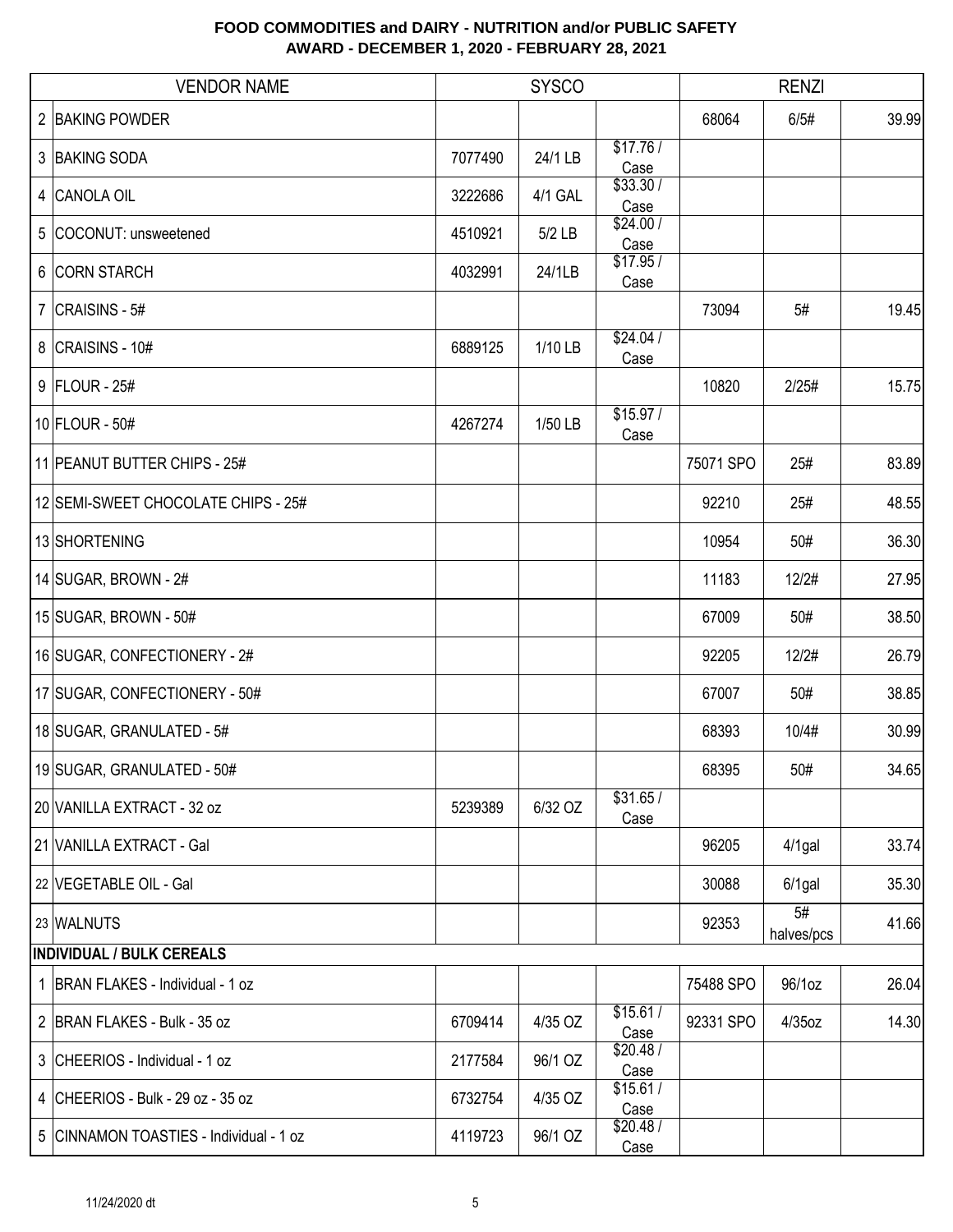| <b>VENDOR NAME</b>                      |         | <b>SYSCO</b> |                  |           | <b>RENZI</b>     |       |
|-----------------------------------------|---------|--------------|------------------|-----------|------------------|-------|
| 2 BAKING POWDER                         |         |              |                  | 68064     | 6/5#             | 39.99 |
| 3 BAKING SODA                           | 7077490 | 24/1 LB      | \$17.76/<br>Case |           |                  |       |
| 4 CANOLA OIL                            | 3222686 | 4/1 GAL      | \$33.30/<br>Case |           |                  |       |
| 5 COCONUT: unsweetened                  | 4510921 | 5/2 LB       | \$24.00/<br>Case |           |                  |       |
| 6 CORN STARCH                           | 4032991 | 24/1LB       | \$17.95/<br>Case |           |                  |       |
| 7 $ CRAISINS - 5#$                      |         |              |                  | 73094     | 5#               | 19.45 |
| 8   CRAISINS - 10#                      | 6889125 | 1/10 LB      | \$24.04/<br>Case |           |                  |       |
| 9   FLOUR - 25#                         |         |              |                  | 10820     | 2/25#            | 15.75 |
| $10$ FLOUR - 50#                        | 4267274 | 1/50 LB      | \$15.97/<br>Case |           |                  |       |
| 11 PEANUT BUTTER CHIPS - 25#            |         |              |                  | 75071 SPO | 25#              | 83.89 |
| 12 SEMI-SWEET CHOCOLATE CHIPS - 25#     |         |              |                  | 92210     | 25#              | 48.55 |
| 13 SHORTENING                           |         |              |                  | 10954     | 50#              | 36.30 |
| 14 SUGAR, BROWN - 2#                    |         |              |                  | 11183     | 12/2#            | 27.95 |
| 15 SUGAR, BROWN - 50#                   |         |              |                  | 67009     | 50#              | 38.50 |
| 16 SUGAR, CONFECTIONERY - 2#            |         |              |                  | 92205     | 12/2#            | 26.79 |
| 17 SUGAR, CONFECTIONERY - 50#           |         |              |                  | 67007     | 50#              | 38.85 |
| 18 SUGAR, GRANULATED - 5#               |         |              |                  | 68393     | 10/4#            | 30.99 |
| 19 SUGAR, GRANULATED - 50#              |         |              |                  | 68395     | 50#              | 34.65 |
| 20 VANILLA EXTRACT - 32 oz              | 5239389 | 6/32 OZ      | \$31.65/<br>Case |           |                  |       |
| 21 VANILLA EXTRACT - Gal                |         |              |                  | 96205     | $4/1$ gal        | 33.74 |
| 22 VEGETABLE OIL - Gal                  |         |              |                  | 30088     | $6/1$ gal        | 35.30 |
| 23 WALNUTS                              |         |              |                  | 92353     | 5#<br>halves/pcs | 41.66 |
| <b>INDIVIDUAL / BULK CEREALS</b>        |         |              |                  |           |                  |       |
| 1 BRAN FLAKES - Individual - 1 oz       |         |              |                  | 75488 SPO | 96/1oz           | 26.04 |
| 2 BRAN FLAKES - Bulk - 35 oz            | 6709414 | 4/35 OZ      | \$15.61/<br>Case | 92331 SPO | 4/35oz           | 14.30 |
| 3 CHEERIOS - Individual - 1 oz          | 2177584 | 96/1 OZ      | \$20.48/<br>Case |           |                  |       |
| 4 CHEERIOS - Bulk - 29 oz - 35 oz       | 6732754 | 4/35 OZ      | \$15.61/<br>Case |           |                  |       |
| 5 CINNAMON TOASTIES - Individual - 1 oz | 4119723 | 96/1 OZ      | \$20.48/<br>Case |           |                  |       |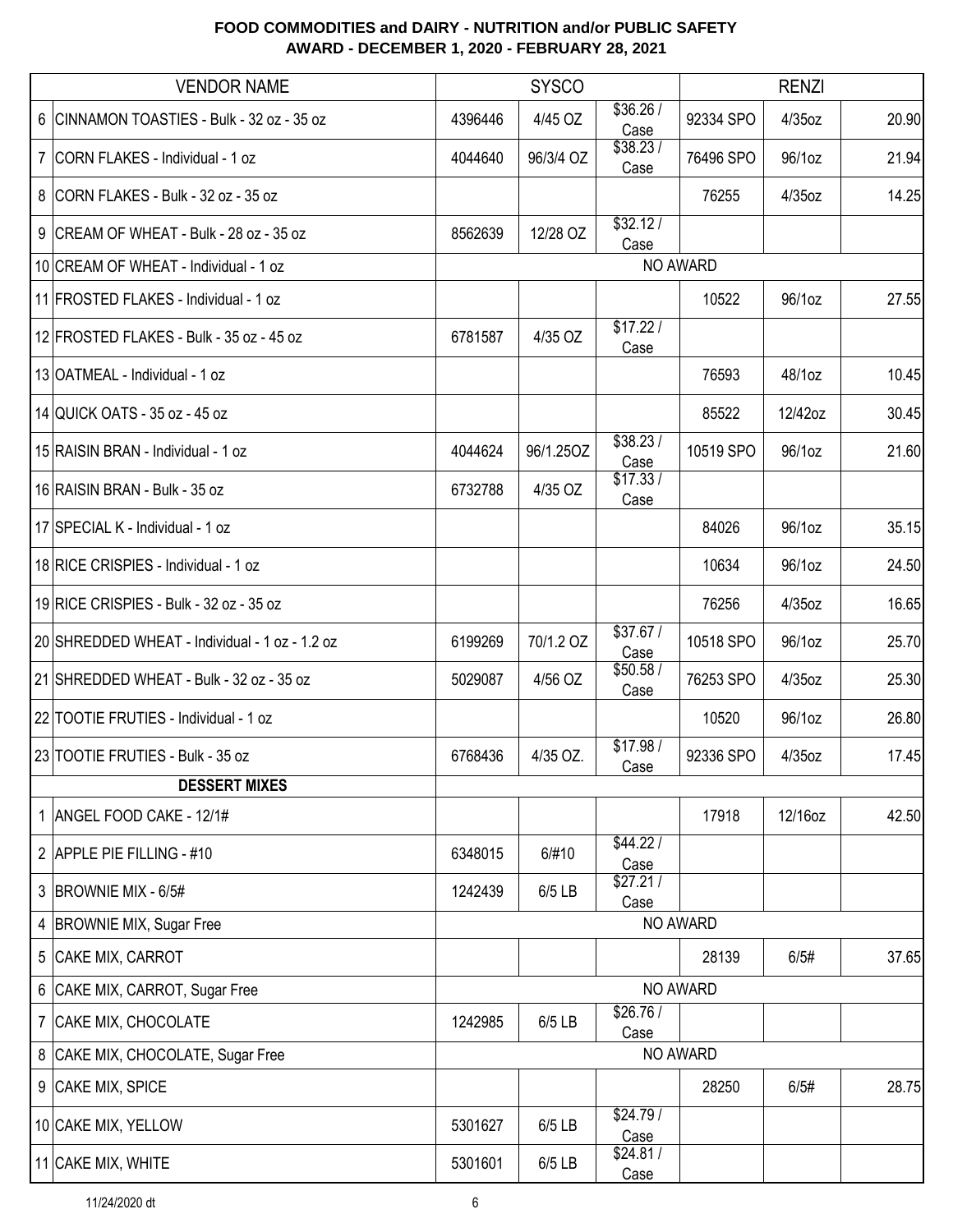|                | <b>VENDOR NAME</b>                             | <b>SYSCO</b> |           |                  | <b>RENZI</b> |           |       |
|----------------|------------------------------------------------|--------------|-----------|------------------|--------------|-----------|-------|
|                | 6 CINNAMON TOASTIES - Bulk - 32 oz - 35 oz     | 4396446      | 4/45 OZ   | \$36.26/<br>Case | 92334 SPO    | 4/35oz    | 20.90 |
|                | 7   CORN FLAKES - Individual - 1 oz            | 4044640      | 96/3/4 OZ | \$38.23/<br>Case | 76496 SPO    | 96/1oz    | 21.94 |
|                | 8 CORN FLAKES - Bulk - 32 oz - 35 oz           |              |           |                  | 76255        | 4/35oz    | 14.25 |
|                | 9 CREAM OF WHEAT - Bulk - 28 oz - 35 oz        | 8562639      | 12/28 OZ  | \$32.12/<br>Case |              |           |       |
|                | 10 CREAM OF WHEAT - Individual - 1 oz          |              |           |                  | NO AWARD     |           |       |
|                | 11 FROSTED FLAKES - Individual - 1 oz          |              |           |                  | 10522        | 96/1oz    | 27.55 |
|                | 12 FROSTED FLAKES - Bulk - 35 oz - 45 oz       | 6781587      | 4/35 OZ   | \$17.22/<br>Case |              |           |       |
|                | 13 OATMEAL - Individual - 1 oz                 |              |           |                  | 76593        | 48/1oz    | 10.45 |
|                | 14 QUICK OATS - 35 oz - 45 oz                  |              |           |                  | 85522        | 12/42oz   | 30.45 |
|                | 15 RAISIN BRAN - Individual - 1 oz             | 4044624      | 96/1.25OZ | \$38.23/<br>Case | 10519 SPO    | 96/1oz    | 21.60 |
|                | 16 RAISIN BRAN - Bulk - 35 oz                  | 6732788      | 4/35 OZ   | \$17.33/<br>Case |              |           |       |
|                | 17 SPECIAL K - Individual - 1 oz               |              |           |                  | 84026        | 96/1oz    | 35.15 |
|                | 18 RICE CRISPIES - Individual - 1 oz           |              |           |                  | 10634        | 96/1oz    | 24.50 |
|                | 19 RICE CRISPIES - Bulk - 32 oz - 35 oz        |              |           |                  | 76256        | 4/35oz    | 16.65 |
|                | 20 SHREDDED WHEAT - Individual - 1 oz - 1.2 oz | 6199269      | 70/1.2 OZ | \$37.67/<br>Case | 10518 SPO    | 96/1oz    | 25.70 |
|                | 21 SHREDDED WHEAT - Bulk - 32 oz - 35 oz       | 5029087      | 4/56 OZ   | \$50.58/<br>Case | 76253 SPO    | 4/35oz    | 25.30 |
|                | 22 TOOTIE FRUTIES - Individual - 1 oz          |              |           |                  | 10520        | 96/1oz    | 26.80 |
|                | 23 TOOTIE FRUTIES - Bulk - 35 oz               | 6768436      | 4/35 OZ.  | \$17.98/<br>Case | 92336 SPO    | $4/35$ oz | 17.45 |
|                | <b>DESSERT MIXES</b>                           |              |           |                  |              |           |       |
|                | 1   ANGEL FOOD CAKE - 12/1#                    |              |           |                  | 17918        | 12/16oz   | 42.50 |
|                | 2 APPLE PIE FILLING - #10                      | 6348015      | 6/#10     | \$44.22/<br>Case |              |           |       |
|                | 3 BROWNIE MIX - 6/5#                           | 1242439      | $6/5$ LB  | \$27.21/<br>Case |              |           |       |
| 4              | <b>BROWNIE MIX, Sugar Free</b>                 |              |           |                  | NO AWARD     |           |       |
|                | 5 CAKE MIX, CARROT                             |              |           |                  | 28139        | 6/5#      | 37.65 |
| $6\phantom{.}$ | CAKE MIX, CARROT, Sugar Free                   | NO AWARD     |           |                  |              |           |       |
|                | 7 CAKE MIX, CHOCOLATE                          | 1242985      | $6/5$ LB  | \$26.76/<br>Case |              |           |       |
| 8              | CAKE MIX, CHOCOLATE, Sugar Free                | NO AWARD     |           |                  |              |           |       |
|                | 9 CAKE MIX, SPICE                              |              |           |                  | 28250        | 6/5#      | 28.75 |
|                | 10 CAKE MIX, YELLOW                            | 5301627      | 6/5 LB    | \$24.79/<br>Case |              |           |       |
|                | 11 CAKE MIX, WHITE                             | 5301601      | $6/5$ LB  | \$24.81/<br>Case |              |           |       |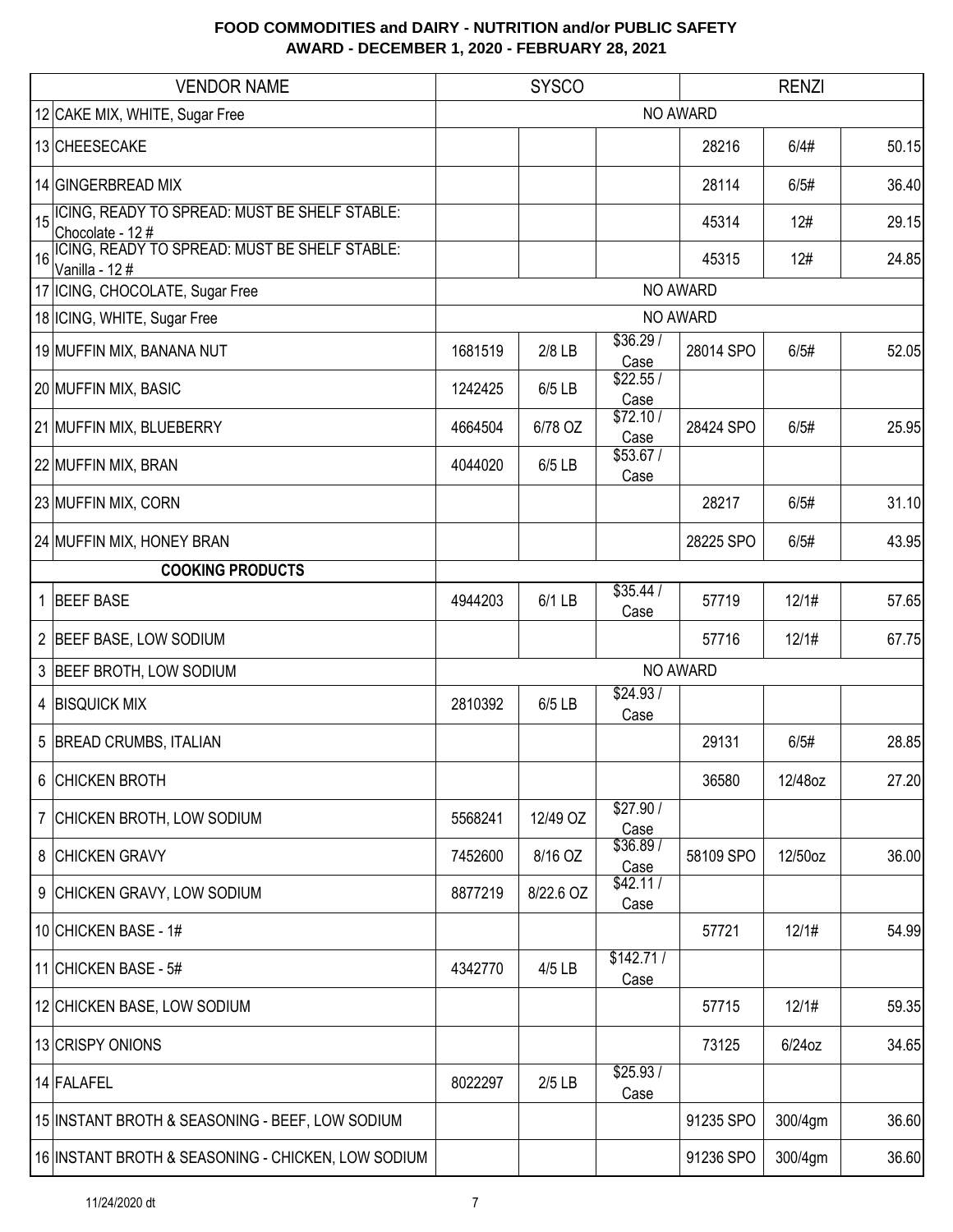|    | <b>VENDOR NAME</b>                                                | <b>SYSCO</b><br><b>RENZI</b> |           |                   |           |           |       |
|----|-------------------------------------------------------------------|------------------------------|-----------|-------------------|-----------|-----------|-------|
|    | 12 CAKE MIX, WHITE, Sugar Free                                    |                              |           |                   | NO AWARD  |           |       |
|    | 13 CHEESECAKE                                                     |                              |           |                   | 28216     | 6/4#      | 50.15 |
|    | 14 GINGERBREAD MIX                                                |                              |           |                   | 28114     | 6/5#      | 36.40 |
| 15 | ICING, READY TO SPREAD: MUST BE SHELF STABLE:<br>Chocolate - 12 # |                              |           |                   | 45314     | 12#       | 29.15 |
| 16 | ICING, READY TO SPREAD: MUST BE SHELF STABLE:<br>Vanilla - 12#    |                              |           |                   | 45315     | 12#       | 24.85 |
|    | 17 ICING, CHOCOLATE, Sugar Free                                   |                              |           |                   | NO AWARD  |           |       |
|    | 18 ICING, WHITE, Sugar Free                                       |                              |           |                   | NO AWARD  |           |       |
|    | 19 MUFFIN MIX, BANANA NUT                                         | 1681519                      | 2/8 LB    | \$36.29/<br>Case  | 28014 SPO | 6/5#      | 52.05 |
|    | 20 MUFFIN MIX, BASIC                                              | 1242425                      | 6/5 LB    | \$22.55/<br>Case  |           |           |       |
|    | 21 MUFFIN MIX, BLUEBERRY                                          | 4664504                      | 6/78 OZ   | \$72.10/<br>Case  | 28424 SPO | 6/5#      | 25.95 |
|    | 22 MUFFIN MIX, BRAN                                               | 4044020                      | 6/5 LB    | \$53.67/<br>Case  |           |           |       |
|    | 23 MUFFIN MIX, CORN                                               |                              |           |                   | 28217     | 6/5#      | 31.10 |
|    | 24 MUFFIN MIX, HONEY BRAN                                         |                              |           |                   | 28225 SPO | 6/5#      | 43.95 |
|    | <b>COOKING PRODUCTS</b>                                           |                              |           |                   |           |           |       |
|    | 1 BEEF BASE                                                       | 4944203                      | 6/1 LB    | \$35.44/<br>Case  | 57719     | 12/1#     | 57.65 |
|    | 2 BEEF BASE, LOW SODIUM                                           |                              |           |                   | 57716     | 12/1#     | 67.75 |
|    | 3 BEEF BROTH, LOW SODIUM                                          |                              |           |                   | NO AWARD  |           |       |
|    | 4 BISQUICK MIX                                                    | 2810392                      | 6/5 LB    | \$24.93/<br>Case  |           |           |       |
|    | 5 BREAD CRUMBS, ITALIAN                                           |                              |           |                   | 29131     | 6/5#      | 28.85 |
|    | 6 CHICKEN BROTH                                                   |                              |           |                   | 36580     | 12/48oz   | 27.20 |
|    | 7 CHICKEN BROTH, LOW SODIUM                                       | 5568241                      | 12/49 OZ  | \$27.90/<br>Case  |           |           |       |
|    | 8 CHICKEN GRAVY                                                   | 7452600                      | 8/16 OZ   | \$36.89/<br>Case  | 58109 SPO | 12/50oz   | 36.00 |
|    | 9 CHICKEN GRAVY, LOW SODIUM                                       | 8877219                      | 8/22.6 OZ | \$42.11/<br>Case  |           |           |       |
|    | 10 CHICKEN BASE - 1#                                              |                              |           |                   | 57721     | 12/1#     | 54.99 |
|    | 11 CHICKEN BASE - 5#                                              | 4342770                      | 4/5 LB    | \$142.71/<br>Case |           |           |       |
|    | 12 CHICKEN BASE, LOW SODIUM                                       |                              |           |                   | 57715     | 12/1#     | 59.35 |
|    | 13 CRISPY ONIONS                                                  |                              |           |                   | 73125     | $6/24$ oz | 34.65 |
|    | 14 FALAFEL                                                        | 8022297                      | $2/5$ LB  | \$25.93/<br>Case  |           |           |       |
|    | 15 INSTANT BROTH & SEASONING - BEEF, LOW SODIUM                   |                              |           |                   | 91235 SPO | 300/4gm   | 36.60 |
|    | 16 INSTANT BROTH & SEASONING - CHICKEN, LOW SODIUM                |                              |           |                   | 91236 SPO | 300/4gm   | 36.60 |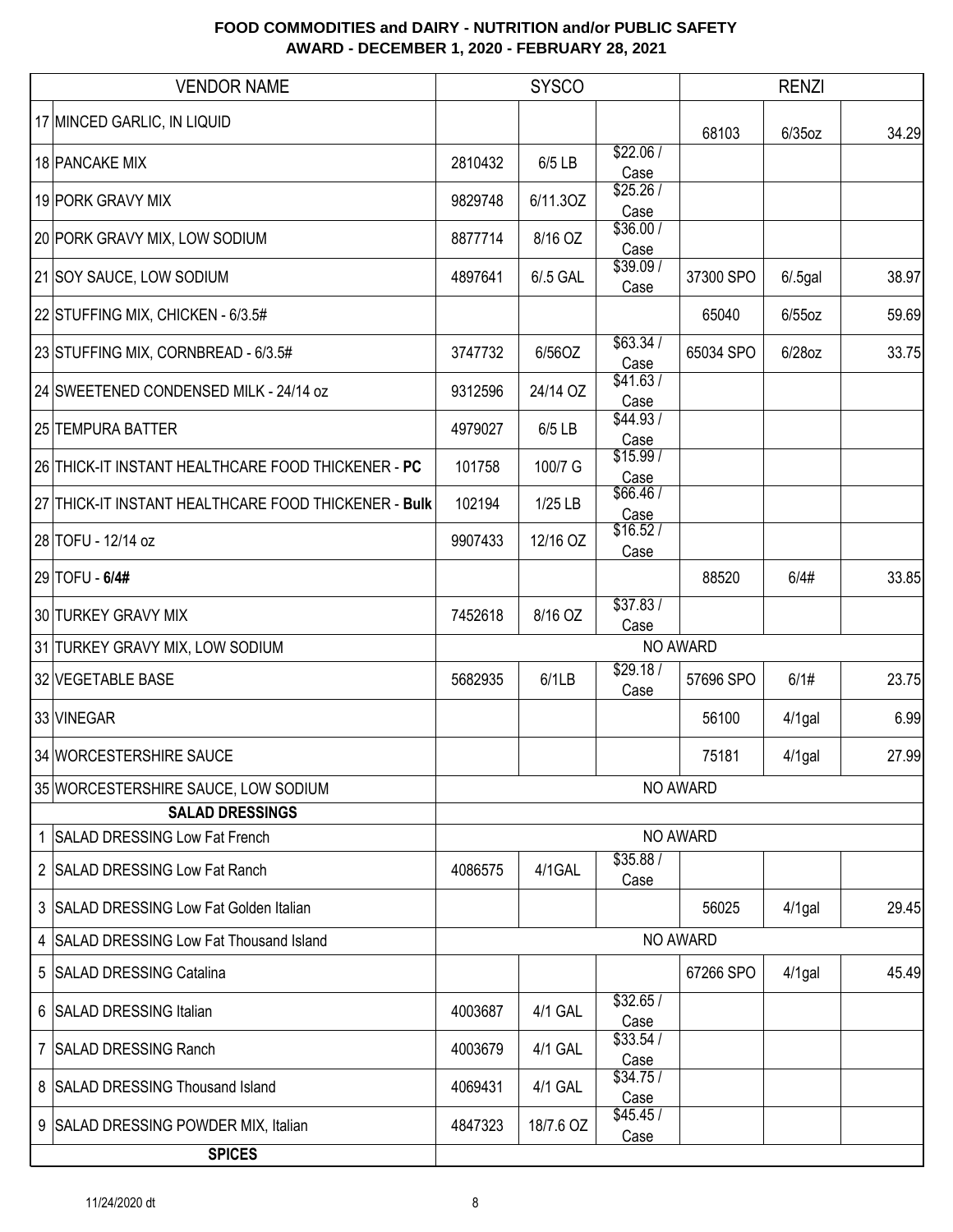| <b>VENDOR NAME</b>                                            |         | <b>SYSCO</b> |                   |           | <b>RENZI</b> |       |
|---------------------------------------------------------------|---------|--------------|-------------------|-----------|--------------|-------|
| 17 MINCED GARLIC, IN LIQUID                                   |         |              |                   | 68103     | $6/35$ oz    | 34.29 |
| 18 PANCAKE MIX                                                | 2810432 | 6/5 LB       | \$22.06/<br>Case  |           |              |       |
| 19 PORK GRAVY MIX                                             | 9829748 | 6/11.3OZ     | \$25.26/<br>Case  |           |              |       |
| 20 PORK GRAVY MIX, LOW SODIUM                                 | 8877714 | 8/16 OZ      | \$36.00/<br>Case  |           |              |       |
| 21 SOY SAUCE, LOW SODIUM                                      | 4897641 | 6/.5 GAL     | \$39.09/<br>Case  | 37300 SPO | $6/0.5$ gal  | 38.97 |
| 22 STUFFING MIX, CHICKEN - 6/3.5#                             |         |              |                   | 65040     | $6/55$ oz    | 59.69 |
| 23 STUFFING MIX, CORNBREAD - 6/3.5#                           | 3747732 | 6/56OZ       | \$63.34/<br>Case  | 65034 SPO | 6/28oz       | 33.75 |
| 24 SWEETENED CONDENSED MILK - 24/14 oz                        | 9312596 | 24/14 OZ     | \$41.63/<br>Case  |           |              |       |
| 25 TEMPURA BATTER                                             | 4979027 | 6/5 LB       | \$44.93 /<br>Case |           |              |       |
| 26 THICK-IT INSTANT HEALTHCARE FOOD THICKENER - PC            | 101758  | 100/7 G      | \$15.99/<br>Case  |           |              |       |
| 27 THICK-IT INSTANT HEALTHCARE FOOD THICKENER - Bulk          | 102194  | 1/25 LB      | \$66.46/<br>Case  |           |              |       |
| 28 TOFU - 12/14 oz                                            | 9907433 | 12/16 OZ     | \$16.52/<br>Case  |           |              |       |
| 29 TOFU - 6/4#                                                |         |              |                   | 88520     | 6/4#         | 33.85 |
| 30 TURKEY GRAVY MIX                                           | 7452618 | 8/16 OZ      | \$37.83/<br>Case  |           |              |       |
| 31 TURKEY GRAVY MIX, LOW SODIUM                               |         |              |                   | NO AWARD  |              |       |
| 32 VEGETABLE BASE                                             | 5682935 | 6/1LB        | \$29.18/<br>Case  | 57696 SPO | 6/1#         | 23.75 |
| 33 VINEGAR                                                    |         |              |                   | 56100     | $4/1$ gal    | 6.99  |
| 34 WORCESTERSHIRE SAUCE                                       |         |              |                   | 75181     | 4/1gal       | 27.99 |
| 35 WORCESTERSHIRE SAUCE, LOW SODIUM<br><b>SALAD DRESSINGS</b> |         |              |                   | NO AWARD  |              |       |
| 1 SALAD DRESSING Low Fat French                               |         |              |                   | NO AWARD  |              |       |
| 2   SALAD DRESSING Low Fat Ranch                              | 4086575 | 4/1GAL       | \$35.88/<br>Case  |           |              |       |
| 3 SALAD DRESSING Low Fat Golden Italian                       |         |              |                   | 56025     | $4/1$ gal    | 29.45 |
| 4 SALAD DRESSING Low Fat Thousand Island                      |         |              |                   | NO AWARD  |              |       |
| 5 SALAD DRESSING Catalina                                     |         |              |                   | 67266 SPO | $4/1$ gal    | 45.49 |
| 6 SALAD DRESSING Italian                                      | 4003687 | 4/1 GAL      | \$32.65/<br>Case  |           |              |       |
| 7 SALAD DRESSING Ranch                                        | 4003679 | 4/1 GAL      | \$33.54/<br>Case  |           |              |       |
| 8 SALAD DRESSING Thousand Island                              | 4069431 | 4/1 GAL      | \$34.75/<br>Case  |           |              |       |
| 9 SALAD DRESSING POWDER MIX, Italian                          | 4847323 | 18/7.6 OZ    | \$45.45/<br>Case  |           |              |       |
| <b>SPICES</b>                                                 |         |              |                   |           |              |       |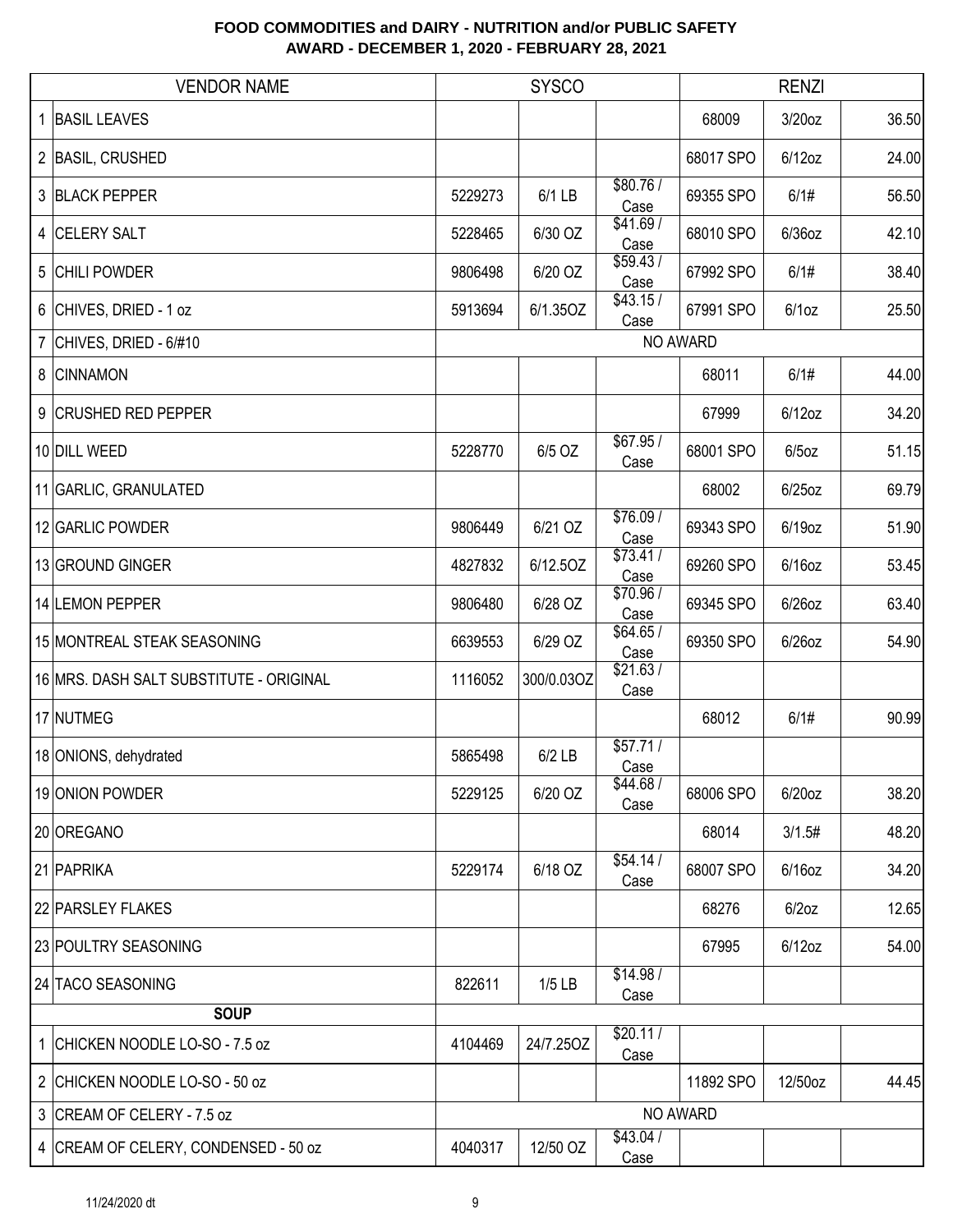| <b>VENDOR NAME</b>                      |         | <b>SYSCO</b> |                  |           | <b>RENZI</b> |       |
|-----------------------------------------|---------|--------------|------------------|-----------|--------------|-------|
| <b>BASIL LEAVES</b>                     |         |              |                  | 68009     | $3/20$ oz    | 36.50 |
| 2 BASIL, CRUSHED                        |         |              |                  | 68017 SPO | $6/12$ oz    | 24.00 |
| 3 BLACK PEPPER                          | 5229273 | $6/1$ LB     | \$80.76/<br>Case | 69355 SPO | 6/1#         | 56.50 |
| 4 CELERY SALT                           | 5228465 | 6/30 OZ      | \$41.69/<br>Case | 68010 SPO | $6/36$ oz    | 42.10 |
| <b>CHILI POWDER</b><br>5                | 9806498 | 6/20 OZ      | \$59.43/<br>Case | 67992 SPO | 6/1#         | 38.40 |
| 6 CHIVES, DRIED - 1 oz                  | 5913694 | 6/1.35OZ     | \$43.15/<br>Case | 67991 SPO | 6/1oz        | 25.50 |
| CHIVES, DRIED - 6/#10<br>$\overline{7}$ |         |              |                  | NO AWARD  |              |       |
| 8<br><b>CINNAMON</b>                    |         |              |                  | 68011     | 6/1#         | 44.00 |
| 9<br><b>CRUSHED RED PEPPER</b>          |         |              |                  | 67999     | $6/12$ oz    | 34.20 |
| 10 DILL WEED                            | 5228770 | 6/5 OZ       | \$67.95/<br>Case | 68001 SPO | $6/5$ oz     | 51.15 |
| 11 GARLIC, GRANULATED                   |         |              |                  | 68002     | $6/25$ oz    | 69.79 |
| 12 GARLIC POWDER                        | 9806449 | 6/21 OZ      | \$76.09/<br>Case | 69343 SPO | 6/19oz       | 51.90 |
| 13 GROUND GINGER                        | 4827832 | 6/12.50Z     | \$73.41/<br>Case | 69260 SPO | $6/16$ oz    | 53.45 |
| 14 LEMON PEPPER                         | 9806480 | 6/28 OZ      | \$70.96/<br>Case | 69345 SPO | $6/26$ oz    | 63.40 |
| 15 MONTREAL STEAK SEASONING             | 6639553 | 6/29 OZ      | \$64.65/<br>Case | 69350 SPO | $6/26$ oz    | 54.90 |
| 16 MRS. DASH SALT SUBSTITUTE - ORIGINAL | 1116052 | 300/0.03OZ   | \$21.63/<br>Case |           |              |       |
| 17 NUTMEG                               |         |              |                  | 68012     | 6/1#         | 90.99 |
| 18 ONIONS, dehydrated                   | 5865498 | $6/2$ LB     | \$57.71/<br>Case |           |              |       |
| 19 ONION POWDER                         | 5229125 | 6/20 OZ      | \$44.68/<br>Case | 68006 SPO | $6/20$ oz    | 38.20 |
| 20 OREGANO                              |         |              |                  | 68014     | 3/1.5#       | 48.20 |
| 21 PAPRIKA                              | 5229174 | 6/18 OZ      | \$54.14/<br>Case | 68007 SPO | $6/16$ oz    | 34.20 |
| 22 PARSLEY FLAKES                       |         |              |                  | 68276     | $6/2$ oz     | 12.65 |
| 23 POULTRY SEASONING                    |         |              |                  | 67995     | $6/12$ oz    | 54.00 |
| 24 TACO SEASONING                       | 822611  | $1/5$ LB     | \$14.98/<br>Case |           |              |       |
| <b>SOUP</b>                             |         |              |                  |           |              |       |
| 1 CHICKEN NOODLE LO-SO - 7.5 oz         | 4104469 | 24/7.25OZ    | \$20.11/<br>Case |           |              |       |
| 2 CHICKEN NOODLE LO-SO - 50 oz          |         |              |                  | 11892 SPO | 12/50oz      | 44.45 |
| 3 CREAM OF CELERY - 7.5 oz              |         |              |                  | NO AWARD  |              |       |
| 4 CREAM OF CELERY, CONDENSED - 50 oz    | 4040317 | 12/50 OZ     | \$43.04/<br>Case |           |              |       |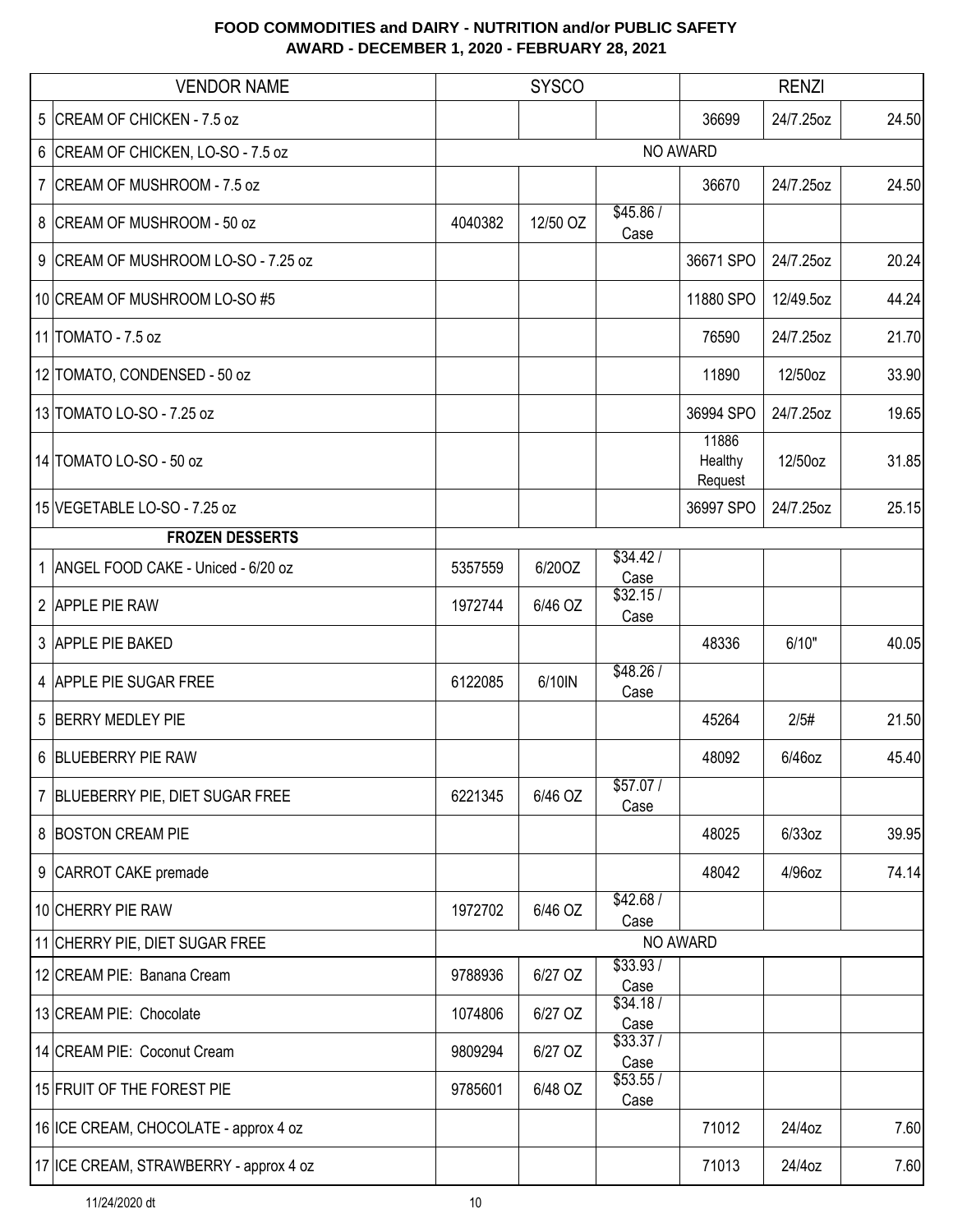| <b>VENDOR NAME</b>                     | <b>SYSCO</b> |          |                  | <b>RENZI</b>                |           |       |
|----------------------------------------|--------------|----------|------------------|-----------------------------|-----------|-------|
| 5 CREAM OF CHICKEN - 7.5 oz            |              |          |                  | 36699                       | 24/7.25oz | 24.50 |
| 6 CREAM OF CHICKEN, LO-SO - 7.5 oz     |              |          |                  | NO AWARD                    |           |       |
| 7 CREAM OF MUSHROOM - 7.5 oz           |              |          |                  | 36670                       | 24/7.25oz | 24.50 |
| 8 CREAM OF MUSHROOM - 50 oz            | 4040382      | 12/50 OZ | \$45.86/<br>Case |                             |           |       |
| 9 CREAM OF MUSHROOM LO-SO - 7.25 oz    |              |          |                  | 36671 SPO                   | 24/7.25oz | 20.24 |
| 10 CREAM OF MUSHROOM LO-SO #5          |              |          |                  | 11880 SPO                   | 12/49.5oz | 44.24 |
| 11 TOMATO - 7.5 oz                     |              |          |                  | 76590                       | 24/7.25oz | 21.70 |
| 12 TOMATO, CONDENSED - 50 oz           |              |          |                  | 11890                       | 12/50oz   | 33.90 |
| 13 TOMATO LO-SO - 7.25 oz              |              |          |                  | 36994 SPO                   | 24/7.25oz | 19.65 |
| 14 TOMATO LO-SO - 50 oz                |              |          |                  | 11886<br>Healthy<br>Request | 12/50oz   | 31.85 |
| 15 VEGETABLE LO-SO - 7.25 oz           |              |          |                  | 36997 SPO                   | 24/7.25oz | 25.15 |
| <b>FROZEN DESSERTS</b>                 |              |          |                  |                             |           |       |
| 1 ANGEL FOOD CAKE - Uniced - 6/20 oz   | 5357559      | 6/20OZ   | \$34.42/<br>Case |                             |           |       |
| 2 APPLE PIE RAW                        | 1972744      | 6/46 OZ  | \$32.15/<br>Case |                             |           |       |
| 3 APPLE PIE BAKED                      |              |          |                  | 48336                       | 6/10"     | 40.05 |
| 4 APPLE PIE SUGAR FREE                 | 6122085      | 6/10IN   | \$48.26/<br>Case |                             |           |       |
| 5 BERRY MEDLEY PIE                     |              |          |                  | 45264                       | 2/5#      | 21.50 |
| 6 BLUEBERRY PIE RAW                    |              |          |                  | 48092                       | 6/46oz    | 45.40 |
| 7 BLUEBERRY PIE, DIET SUGAR FREE       | 6221345      | 6/46 OZ  | \$57.07/<br>Case |                             |           |       |
| 8 BOSTON CREAM PIE                     |              |          |                  | 48025                       | 6/33oz    | 39.95 |
| 9 CARROT CAKE premade                  |              |          |                  | 48042                       | 4/96oz    | 74.14 |
| 10 CHERRY PIE RAW                      | 1972702      | 6/46 OZ  | \$42.68/<br>Case |                             |           |       |
| 11 CHERRY PIE, DIET SUGAR FREE         |              |          |                  | NO AWARD                    |           |       |
| 12 CREAM PIE: Banana Cream             | 9788936      | 6/27 OZ  | \$33.93/<br>Case |                             |           |       |
| 13 CREAM PIE: Chocolate                | 1074806      | 6/27 OZ  | \$34.18/<br>Case |                             |           |       |
| 14 CREAM PIE: Coconut Cream            | 9809294      | 6/27 OZ  | \$33.37/<br>Case |                             |           |       |
| 15 FRUIT OF THE FOREST PIE             | 9785601      | 6/48 OZ  | \$53.55/<br>Case |                             |           |       |
| 16 ICE CREAM, CHOCOLATE - approx 4 oz  |              |          |                  | 71012                       | 24/4oz    | 7.60  |
| 17 ICE CREAM, STRAWBERRY - approx 4 oz |              |          |                  | 71013                       | 24/4oz    | 7.60  |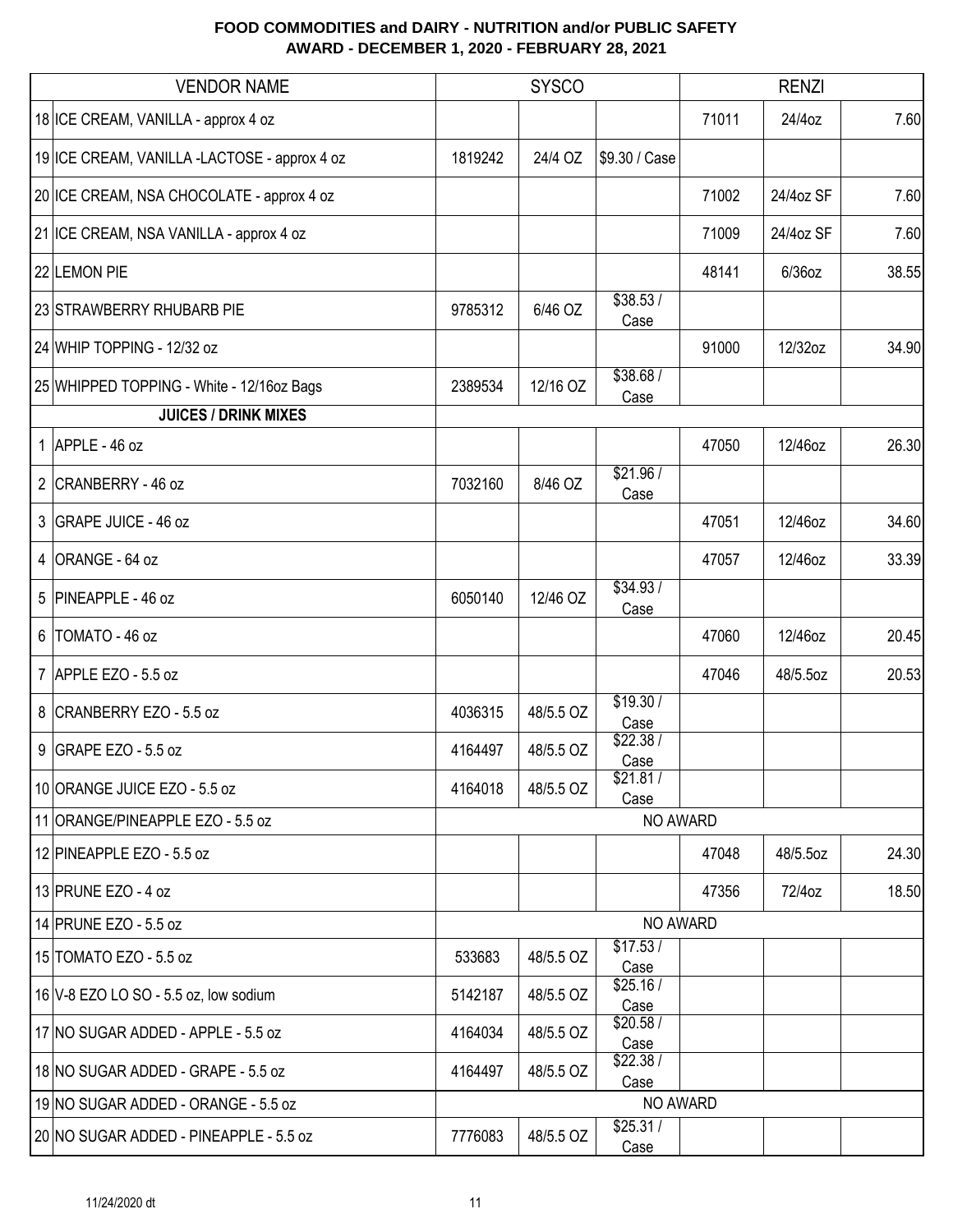| <b>VENDOR NAME</b>                           |         | <b>SYSCO</b> |                  | <b>RENZI</b> |           |       |
|----------------------------------------------|---------|--------------|------------------|--------------|-----------|-------|
| 18 ICE CREAM, VANILLA - approx 4 oz          |         |              |                  | 71011        | 24/4oz    | 7.60  |
| 19 ICE CREAM, VANILLA -LACTOSE - approx 4 oz | 1819242 | 24/4 OZ      | \$9.30 / Case    |              |           |       |
| 20 ICE CREAM, NSA CHOCOLATE - approx 4 oz    |         |              |                  | 71002        | 24/4oz SF | 7.60  |
| 21 ICE CREAM, NSA VANILLA - approx 4 oz      |         |              |                  | 71009        | 24/4oz SF | 7.60  |
| 22 LEMON PIE                                 |         |              |                  | 48141        | $6/36$ oz | 38.55 |
| 23 STRAWBERRY RHUBARB PIE                    | 9785312 | 6/46 OZ      | \$38.53/<br>Case |              |           |       |
| 24 WHIP TOPPING - 12/32 oz                   |         |              |                  | 91000        | 12/32oz   | 34.90 |
| 25 WHIPPED TOPPING - White - 12/16oz Bags    | 2389534 | 12/16 OZ     | \$38.68/<br>Case |              |           |       |
| <b>JUICES / DRINK MIXES</b>                  |         |              |                  |              |           |       |
| 1 APPLE - 46 oz                              |         |              |                  | 47050        | 12/46oz   | 26.30 |
| 2 CRANBERRY - 46 oz                          | 7032160 | 8/46 OZ      | \$21.96/<br>Case |              |           |       |
| 3 GRAPE JUICE - 46 oz                        |         |              |                  | 47051        | 12/46oz   | 34.60 |
| 4 ORANGE - 64 oz                             |         |              |                  | 47057        | 12/46oz   | 33.39 |
| 5 PINEAPPLE - 46 oz                          | 6050140 | 12/46 OZ     | \$34.93/<br>Case |              |           |       |
| 6   TOMATO - 46 oz                           |         |              |                  | 47060        | 12/46oz   | 20.45 |
| 7 APPLE EZO - 5.5 oz                         |         |              |                  | 47046        | 48/5.5oz  | 20.53 |
| 8 CRANBERRY EZO - 5.5 oz                     | 4036315 | 48/5.5 OZ    | \$19.30/<br>Case |              |           |       |
| $9$ GRAPE EZO - 5.5 oz                       | 4164497 | 48/5.5 OZ    | \$22.38/<br>Case |              |           |       |
| 10 ORANGE JUICE EZO - 5.5 oz                 | 4164018 | 48/5.5 OZ    | \$21.81/<br>Case |              |           |       |
| 11 ORANGE/PINEAPPLE EZO - 5.5 oz             |         |              | NO AWARD         |              |           |       |
| 12 PINEAPPLE EZO - 5.5 oz                    |         |              |                  | 47048        | 48/5.5oz  | 24.30 |
| 13 PRUNE EZO - 4 oz                          |         |              |                  | 47356        | 72/4oz    | 18.50 |
| 14 PRUNE EZO - 5.5 oz                        |         |              | NO AWARD         |              |           |       |
| 15 TOMATO EZO - 5.5 oz                       | 533683  | 48/5.5 OZ    | \$17.53/<br>Case |              |           |       |
| 16 V-8 EZO LO SO - 5.5 oz, low sodium        | 5142187 | 48/5.5 OZ    | \$25.16/<br>Case |              |           |       |
| 17 NO SUGAR ADDED - APPLE - 5.5 oz           | 4164034 | 48/5.5 OZ    | \$20.58/<br>Case |              |           |       |
| 18 NO SUGAR ADDED - GRAPE - 5.5 oz           | 4164497 | 48/5.5 OZ    | \$22.38/<br>Case |              |           |       |
| 19 NO SUGAR ADDED - ORANGE - 5.5 oz          |         |              | NO AWARD         |              |           |       |
| 20 NO SUGAR ADDED - PINEAPPLE - 5.5 oz       | 7776083 | 48/5.5 OZ    | \$25.31/<br>Case |              |           |       |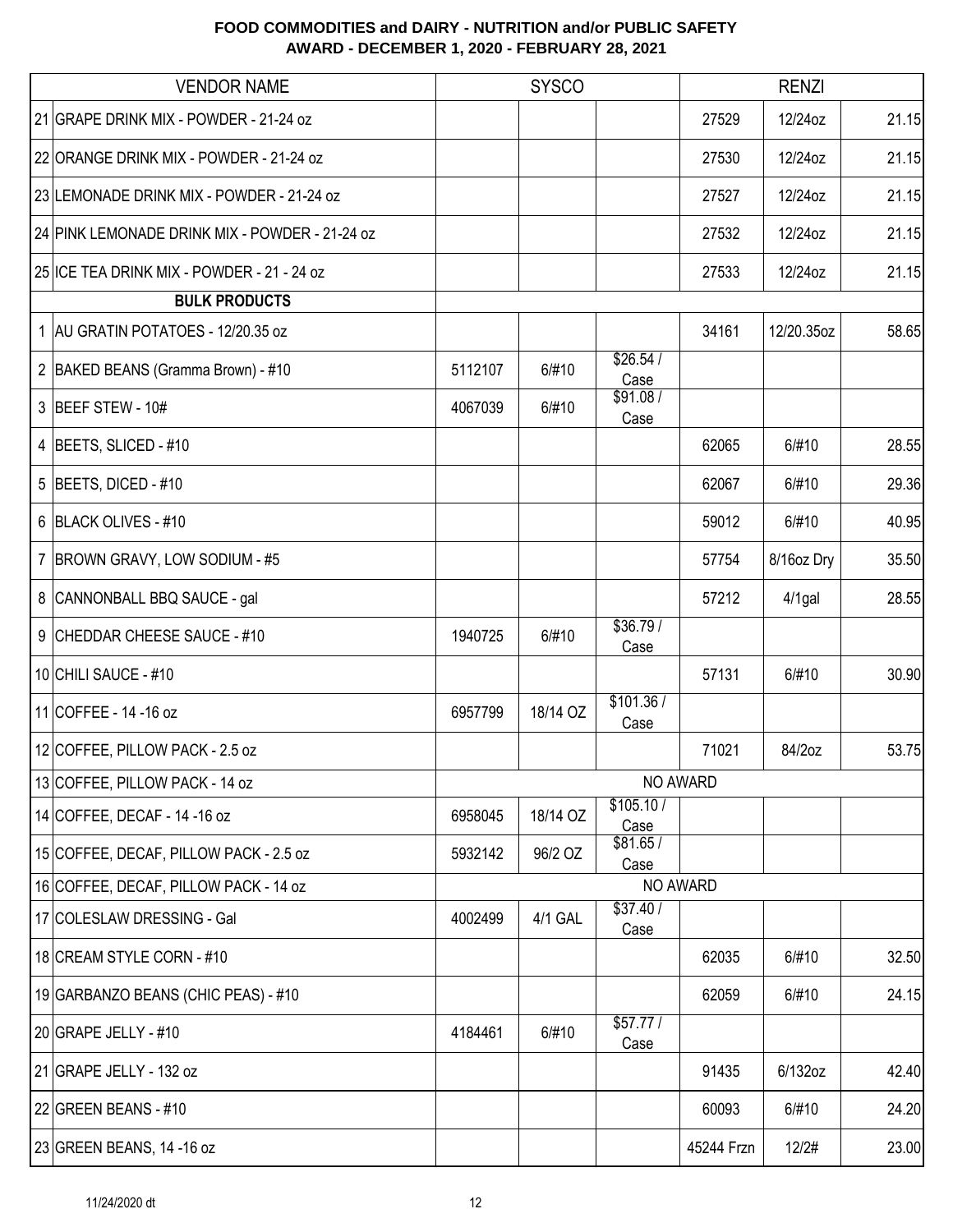| <b>VENDOR NAME</b>                             |         | <b>SYSCO</b> |                   |            | <b>RENZI</b> |       |
|------------------------------------------------|---------|--------------|-------------------|------------|--------------|-------|
| 21 GRAPE DRINK MIX - POWDER - 21-24 oz         |         |              |                   | 27529      | 12/24oz      | 21.15 |
| 22 ORANGE DRINK MIX - POWDER - 21-24 oz        |         |              |                   | 27530      | 12/24oz      | 21.15 |
| 23 LEMONADE DRINK MIX - POWDER - 21-24 oz      |         |              |                   | 27527      | 12/24oz      | 21.15 |
| 24 PINK LEMONADE DRINK MIX - POWDER - 21-24 oz |         |              |                   | 27532      | 12/24oz      | 21.15 |
| 25 ICE TEA DRINK MIX - POWDER - 21 - 24 oz     |         |              |                   | 27533      | 12/24oz      | 21.15 |
| <b>BULK PRODUCTS</b>                           |         |              |                   |            |              |       |
| 1 AU GRATIN POTATOES - 12/20.35 oz             |         |              |                   | 34161      | 12/20.35oz   | 58.65 |
| 2 BAKED BEANS (Gramma Brown) - #10             | 5112107 | 6/#10        | \$26.54/<br>Case  |            |              |       |
| 3 BEEF STEW - 10#                              | 4067039 | 6/#10        | \$91.08/<br>Case  |            |              |       |
| 4 BEETS, SLICED - #10                          |         |              |                   | 62065      | 6/#10        | 28.55 |
| 5 BEETS, DICED - #10                           |         |              |                   | 62067      | 6/#10        | 29.36 |
| 6 BLACK OLIVES - #10                           |         |              |                   | 59012      | 6/#10        | 40.95 |
| 7   BROWN GRAVY, LOW SODIUM - #5               |         |              |                   | 57754      | 8/16oz Dry   | 35.50 |
| 8 CANNONBALL BBQ SAUCE - gal                   |         |              |                   | 57212      | $4/1$ gal    | 28.55 |
| CHEDDAR CHEESE SAUCE - #10<br>9                | 1940725 | 6/#10        | \$36.79/<br>Case  |            |              |       |
| 10 CHILI SAUCE - #10                           |         |              |                   | 57131      | 6/#10        | 30.90 |
| 11 COFFEE - 14 - 16 oz                         | 6957799 | 18/14 OZ     | \$101.36/<br>Case |            |              |       |
| 12 COFFEE, PILLOW PACK - 2.5 oz                |         |              |                   | 71021      | 84/2oz       | 53.75 |
| 13 COFFEE, PILLOW PACK - 14 oz                 |         |              |                   | NO AWARD   |              |       |
| 14 COFFEE, DECAF - 14 - 16 oz                  | 6958045 | 18/14 OZ     | \$105.10/<br>Case |            |              |       |
| 15 COFFEE, DECAF, PILLOW PACK - 2.5 oz         | 5932142 | 96/2 OZ      | \$81.65/<br>Case  |            |              |       |
| 16 COFFEE, DECAF, PILLOW PACK - 14 oz          |         |              |                   | NO AWARD   |              |       |
| 17 COLESLAW DRESSING - Gal                     | 4002499 | 4/1 GAL      | \$37.40 /<br>Case |            |              |       |
| 18 CREAM STYLE CORN - #10                      |         |              |                   | 62035      | 6/#10        | 32.50 |
| 19 GARBANZO BEANS (CHIC PEAS) - #10            |         |              |                   | 62059      | 6/#10        | 24.15 |
| 20 GRAPE JELLY - #10                           | 4184461 | 6/#10        | \$57.77/<br>Case  |            |              |       |
| 21 GRAPE JELLY - 132 oz                        |         |              |                   | 91435      | 6/132oz      | 42.40 |
| 22 GREEN BEANS - $#10$                         |         |              |                   | 60093      | 6/#10        | 24.20 |
| 23 GREEN BEANS, 14 -16 oz                      |         |              |                   | 45244 Frzn | 12/2#        | 23.00 |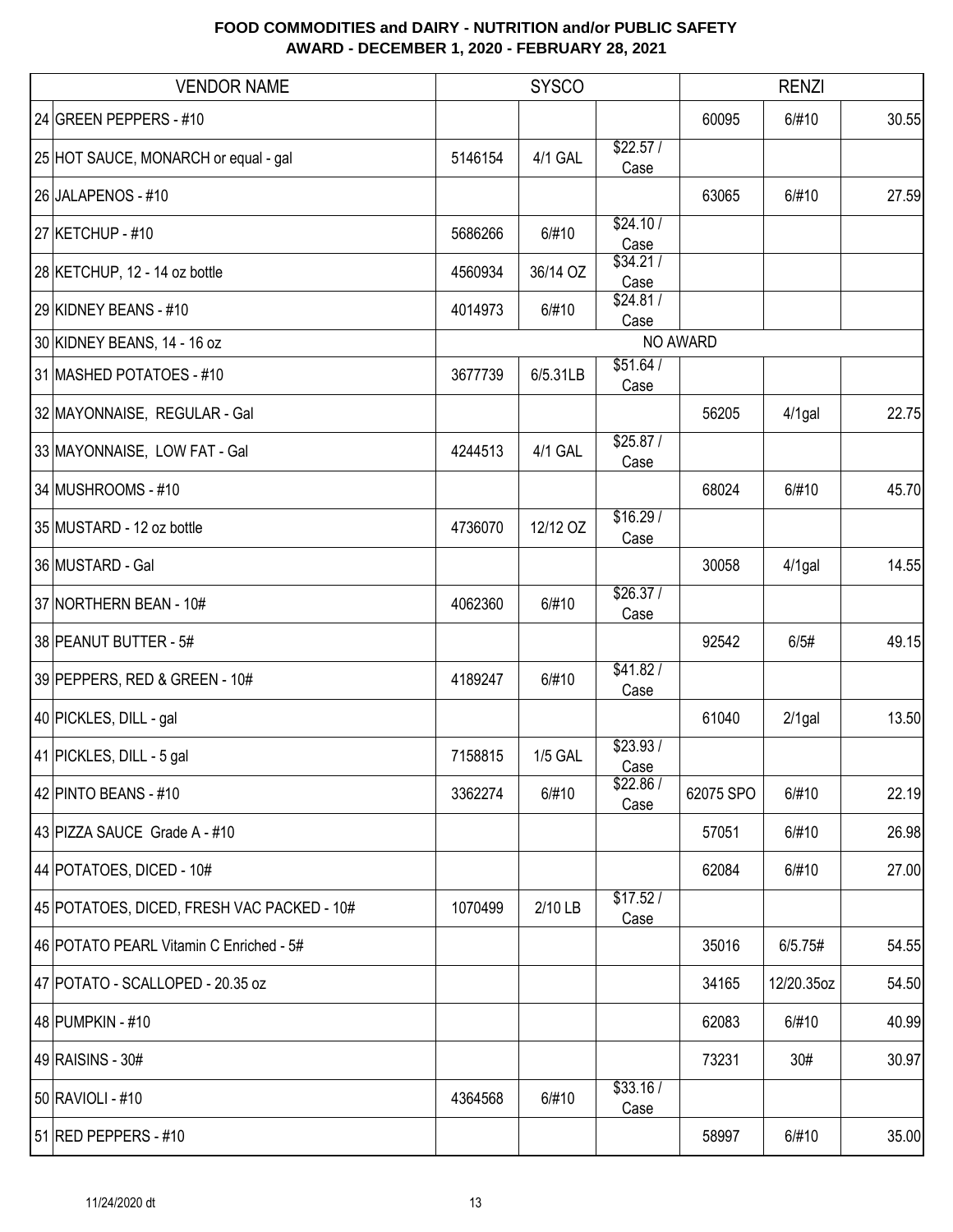| <b>VENDOR NAME</b>                         |         | <b>SYSCO</b>   |                  | <b>RENZI</b> |            |       |
|--------------------------------------------|---------|----------------|------------------|--------------|------------|-------|
| 24 GREEN PEPPERS - #10                     |         |                |                  | 60095        | 6/#10      | 30.55 |
| 25 HOT SAUCE, MONARCH or equal - gal       | 5146154 | 4/1 GAL        | \$22.57/<br>Case |              |            |       |
| 26 JALAPENOS - #10                         |         |                |                  | 63065        | 6/#10      | 27.59 |
| 27 KETCHUP - #10                           | 5686266 | 6/#10          | \$24.10/<br>Case |              |            |       |
| 28 KETCHUP, 12 - 14 oz bottle              | 4560934 | 36/14 OZ       | \$34.21/<br>Case |              |            |       |
| 29 KIDNEY BEANS - #10                      | 4014973 | 6/#10          | \$24.81/<br>Case |              |            |       |
| 30 KIDNEY BEANS, 14 - 16 oz                |         |                |                  | NO AWARD     |            |       |
| 31 MASHED POTATOES - #10                   | 3677739 | 6/5.31LB       | \$51.64/<br>Case |              |            |       |
| 32 MAYONNAISE, REGULAR - Gal               |         |                |                  | 56205        | $4/1$ gal  | 22.75 |
| 33 MAYONNAISE, LOW FAT - Gal               | 4244513 | 4/1 GAL        | \$25.87/<br>Case |              |            |       |
| 34 MUSHROOMS - #10                         |         |                |                  | 68024        | 6/#10      | 45.70 |
| 35 MUSTARD - 12 oz bottle                  | 4736070 | 12/12 OZ       | \$16.29/<br>Case |              |            |       |
| 36 MUSTARD - Gal                           |         |                |                  | 30058        | $4/1$ gal  | 14.55 |
| 37 NORTHERN BEAN - 10#                     | 4062360 | 6/#10          | \$26.37/<br>Case |              |            |       |
| 38 PEANUT BUTTER - 5#                      |         |                |                  | 92542        | 6/5#       | 49.15 |
| 39 PEPPERS, RED & GREEN - 10#              | 4189247 | 6/#10          | \$41.82/<br>Case |              |            |       |
| 40 PICKLES, DILL - gal                     |         |                |                  | 61040        | $2/1$ gal  | 13.50 |
| 41 PICKLES, DILL - 5 gal                   | 7158815 | <b>1/5 GAL</b> | \$23.93/<br>Case |              |            |       |
| 42 PINTO BEANS - #10                       | 3362274 | 6/#10          | \$22.86/<br>Case | 62075 SPO    | 6/#10      | 22.19 |
| 43 PIZZA SAUCE Grade A - #10               |         |                |                  | 57051        | 6/#10      | 26.98 |
| 44 POTATOES, DICED - 10#                   |         |                |                  | 62084        | 6/#10      | 27.00 |
| 45 POTATOES, DICED, FRESH VAC PACKED - 10# | 1070499 | 2/10 LB        | \$17.52/<br>Case |              |            |       |
| 46 POTATO PEARL Vitamin C Enriched - 5#    |         |                |                  | 35016        | 6/5.75#    | 54.55 |
| 47 POTATO - SCALLOPED - 20.35 oz           |         |                |                  | 34165        | 12/20.35oz | 54.50 |
| 48 PUMPKIN - #10                           |         |                |                  | 62083        | 6/#10      | 40.99 |
| 49 RAISINS - 30#                           |         |                |                  | 73231        | 30#        | 30.97 |
| 50 RAVIOLI - #10                           | 4364568 | 6/#10          | \$33.16/<br>Case |              |            |       |
| $51$ RED PEPPERS - #10                     |         |                |                  | 58997        | 6/#10      | 35.00 |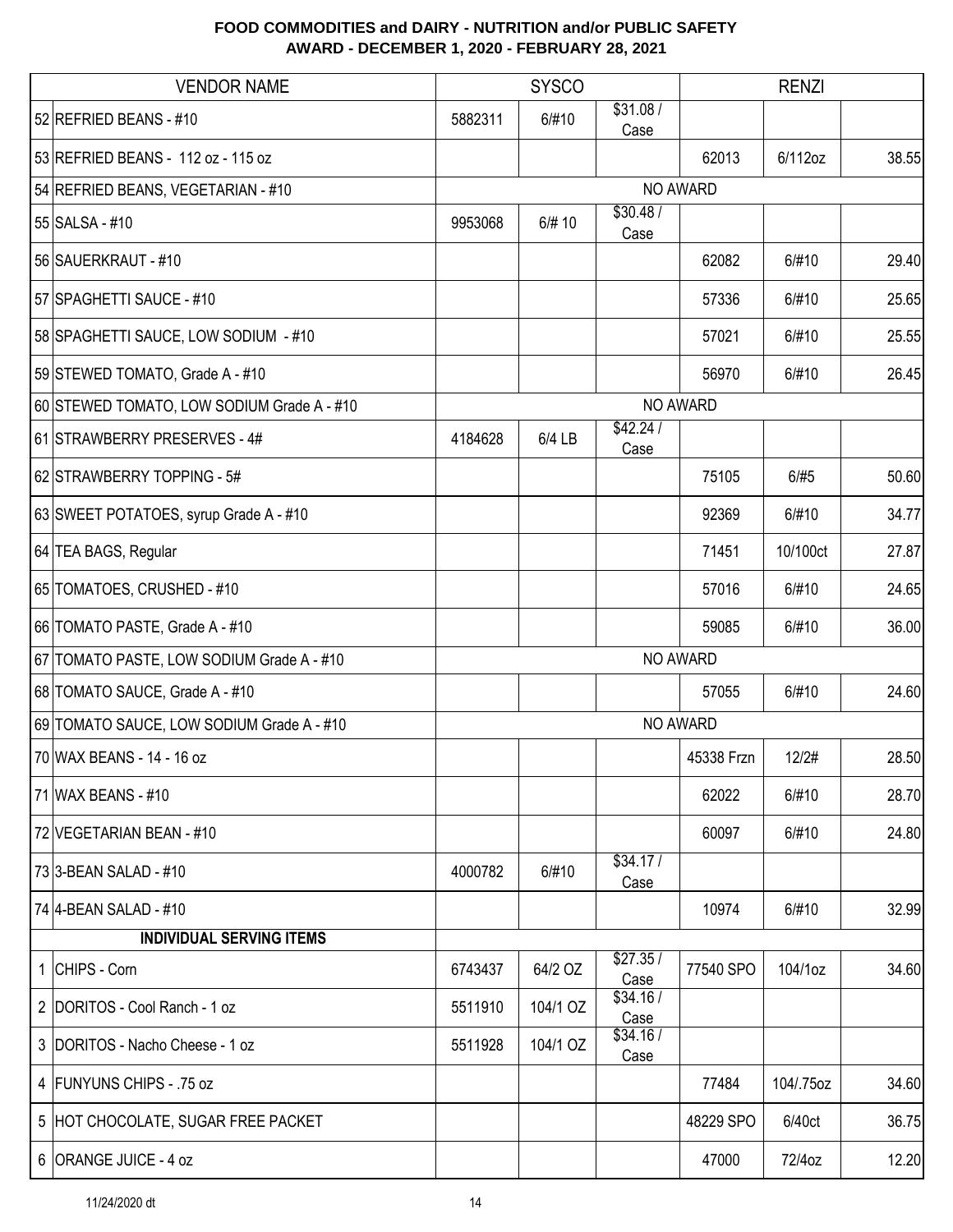| <b>VENDOR NAME</b>                         |         | <b>SYSCO</b> |                  |            | <b>RENZI</b> |       |
|--------------------------------------------|---------|--------------|------------------|------------|--------------|-------|
| 52 REFRIED BEANS - #10                     | 5882311 | 6/#10        | \$31.08/<br>Case |            |              |       |
| 53 REFRIED BEANS - 112 oz - 115 oz         |         |              |                  | 62013      | 6/112oz      | 38.55 |
| 54 REFRIED BEANS, VEGETARIAN - #10         |         |              |                  | NO AWARD   |              |       |
| 55 SALSA - #10                             | 9953068 | 6/# 10       | \$30.48/<br>Case |            |              |       |
| 56 SAUERKRAUT - #10                        |         |              |                  | 62082      | 6/#10        | 29.40 |
| 57 SPAGHETTI SAUCE - #10                   |         |              |                  | 57336      | 6/#10        | 25.65 |
| 58 SPAGHETTI SAUCE, LOW SODIUM - #10       |         |              |                  | 57021      | 6/#10        | 25.55 |
| 59 STEWED TOMATO, Grade A - #10            |         |              |                  | 56970      | 6/#10        | 26.45 |
| 60 STEWED TOMATO, LOW SODIUM Grade A - #10 |         |              |                  | NO AWARD   |              |       |
| 61 STRAWBERRY PRESERVES - 4#               | 4184628 | 6/4 LB       | \$42.24/<br>Case |            |              |       |
| 62 STRAWBERRY TOPPING - 5#                 |         |              |                  | 75105      | 6/#5         | 50.60 |
| 63 SWEET POTATOES, syrup Grade A - #10     |         |              |                  | 92369      | 6/#10        | 34.77 |
| 64 TEA BAGS, Regular                       |         |              |                  | 71451      | 10/100ct     | 27.87 |
| 65 TOMATOES, CRUSHED - #10                 |         |              |                  | 57016      | 6/#10        | 24.65 |
| 66 TOMATO PASTE, Grade A - #10             |         |              |                  | 59085      | 6/#10        | 36.00 |
| 67 TOMATO PASTE, LOW SODIUM Grade A - #10  |         |              |                  | NO AWARD   |              |       |
| 68 TOMATO SAUCE, Grade A - #10             |         |              |                  | 57055      | 6/#10        | 24.60 |
| 69 TOMATO SAUCE, LOW SODIUM Grade A - #10  |         |              |                  | NO AWARD   |              |       |
| 70 WAX BEANS - 14 - 16 oz                  |         |              |                  | 45338 Frzn | 12/2#        | 28.50 |
| 71 WAX BEANS - #10                         |         |              |                  | 62022      | 6/#10        | 28.70 |
| 72 VEGETARIAN BEAN - #10                   |         |              |                  | 60097      | 6/#10        | 24.80 |
| 73 3-BEAN SALAD - #10                      | 4000782 | 6/#10        | \$34.17/<br>Case |            |              |       |
| 74 4-BEAN SALAD - #10                      |         |              |                  | 10974      | 6/#10        | 32.99 |
| <b>INDIVIDUAL SERVING ITEMS</b>            |         |              |                  |            |              |       |
| 1 CHIPS - Corn                             | 6743437 | 64/2 OZ      | \$27.35/<br>Case | 77540 SPO  | 104/1oz      | 34.60 |
| 2 DORITOS - Cool Ranch - 1 oz              | 5511910 | 104/1 OZ     | \$34.16/<br>Case |            |              |       |
| 3 DORITOS - Nacho Cheese - 1 oz            | 5511928 | 104/1 OZ     | \$34.16/<br>Case |            |              |       |
| 4   FUNYUNS CHIPS - .75 oz                 |         |              |                  | 77484      | 104/.75oz    | 34.60 |
| 5 HOT CHOCOLATE, SUGAR FREE PACKET         |         |              |                  | 48229 SPO  | 6/40ct       | 36.75 |
| 6 ORANGE JUICE - 4 oz                      |         |              |                  | 47000      | 72/4oz       | 12.20 |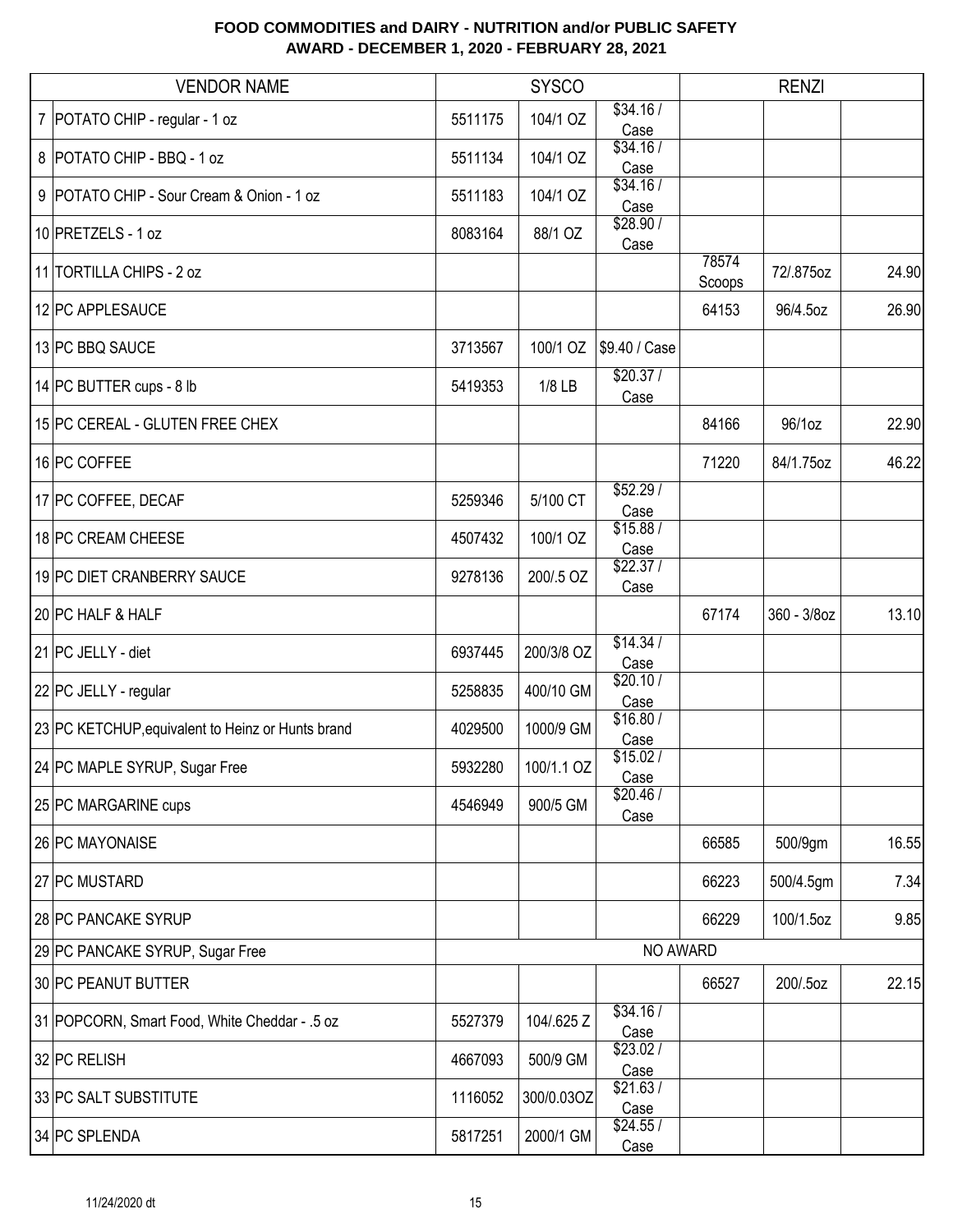| <b>VENDOR NAME</b>                                |         | <b>SYSCO</b> |                  |                 | <b>RENZI</b> |       |
|---------------------------------------------------|---------|--------------|------------------|-----------------|--------------|-------|
| 7   POTATO CHIP - regular - 1 oz                  | 5511175 | 104/1 OZ     | \$34.16/<br>Case |                 |              |       |
| 8   POTATO CHIP - BBQ - 1 oz                      | 5511134 | 104/1 OZ     | \$34.16/<br>Case |                 |              |       |
| 9   POTATO CHIP - Sour Cream & Onion - 1 oz       | 5511183 | 104/1 OZ     | \$34.16/<br>Case |                 |              |       |
| 10 PRETZELS - 1 oz                                | 8083164 | 88/1 OZ      | \$28.90/<br>Case |                 |              |       |
| 11 TORTILLA CHIPS - 2 oz                          |         |              |                  | 78574<br>Scoops | 72/.875oz    | 24.90 |
| 12 PC APPLESAUCE                                  |         |              |                  | 64153           | 96/4.5oz     | 26.90 |
| 13 PC BBQ SAUCE                                   | 3713567 | 100/1 OZ     | \$9.40 / Case    |                 |              |       |
| 14 PC BUTTER cups - 8 lb                          | 5419353 | $1/8$ LB     | \$20.37/<br>Case |                 |              |       |
| 15 PC CEREAL - GLUTEN FREE CHEX                   |         |              |                  | 84166           | 96/1oz       | 22.90 |
| 16 PC COFFEE                                      |         |              |                  | 71220           | 84/1.75oz    | 46.22 |
| 17 PC COFFEE, DECAF                               | 5259346 | 5/100 CT     | \$52.29/<br>Case |                 |              |       |
| 18 PC CREAM CHEESE                                | 4507432 | 100/1 OZ     | \$15.88/<br>Case |                 |              |       |
| 19 PC DIET CRANBERRY SAUCE                        | 9278136 | 200/.5 OZ    | \$22.37/<br>Case |                 |              |       |
| 20 PC HALF & HALF                                 |         |              |                  | 67174           | 360 - 3/8oz  | 13.10 |
| 21 PC JELLY - diet                                | 6937445 | 200/3/8 OZ   | \$14.34/<br>Case |                 |              |       |
| 22 PC JELLY - regular                             | 5258835 | 400/10 GM    | \$20.10/<br>Case |                 |              |       |
| 23 PC KETCHUP, equivalent to Heinz or Hunts brand | 4029500 | 1000/9 GM    | \$16.80/<br>Case |                 |              |       |
| 24 PC MAPLE SYRUP, Sugar Free                     | 5932280 | 100/1.1 OZ   | \$15.02/<br>Case |                 |              |       |
| 25 PC MARGARINE cups                              | 4546949 | 900/5 GM     | \$20.46/<br>Case |                 |              |       |
| 26 PC MAYONAISE                                   |         |              |                  | 66585           | 500/9gm      | 16.55 |
| 27 PC MUSTARD                                     |         |              |                  | 66223           | 500/4.5gm    | 7.34  |
| 28 PC PANCAKE SYRUP                               |         |              |                  | 66229           | 100/1.5oz    | 9.85  |
| 29 PC PANCAKE SYRUP, Sugar Free                   |         |              | NO AWARD         |                 |              |       |
| 30 PC PEANUT BUTTER                               |         |              |                  | 66527           | 200/.5oz     | 22.15 |
| 31 POPCORN, Smart Food, White Cheddar - .5 oz     | 5527379 | 104/.625 Z   | \$34.16/<br>Case |                 |              |       |
| 32 PC RELISH                                      | 4667093 | 500/9 GM     | \$23.02/<br>Case |                 |              |       |
| 33 PC SALT SUBSTITUTE                             | 1116052 | 300/0.03OZ   | \$21.63/<br>Case |                 |              |       |
| 34 PC SPLENDA                                     | 5817251 | 2000/1 GM    | \$24.55/<br>Case |                 |              |       |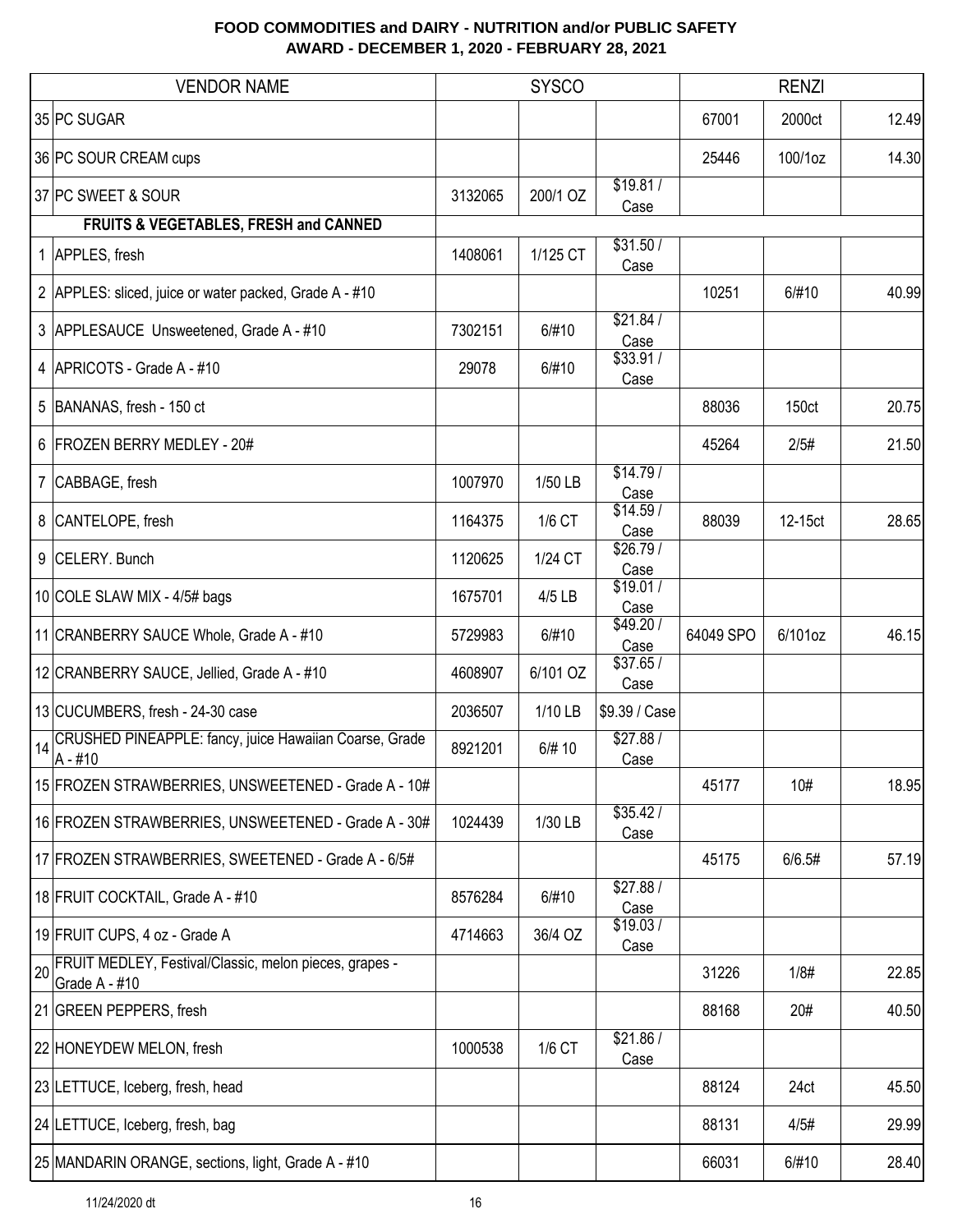|                | <b>VENDOR NAME</b>                                                      |         | <b>SYSCO</b> |                  |           | <b>RENZI</b> |       |
|----------------|-------------------------------------------------------------------------|---------|--------------|------------------|-----------|--------------|-------|
|                | 35 PC SUGAR                                                             |         |              |                  | 67001     | 2000ct       | 12.49 |
|                | 36 PC SOUR CREAM cups                                                   |         |              |                  | 25446     | 100/1oz      | 14.30 |
|                | 37 PC SWEET & SOUR<br>FRUITS & VEGETABLES, FRESH and CANNED             | 3132065 | 200/1 OZ     | \$19.81/<br>Case |           |              |       |
|                | 1 APPLES, fresh                                                         | 1408061 | 1/125 CT     | \$31.50/<br>Case |           |              |       |
|                | 2 APPLES: sliced, juice or water packed, Grade A - #10                  |         |              |                  | 10251     | 6/#10        | 40.99 |
|                | 3 APPLESAUCE Unsweetened, Grade A - #10                                 | 7302151 | 6/#10        | \$21.84/<br>Case |           |              |       |
|                | 4 APRICOTS - Grade A - #10                                              | 29078   | 6/#10        | \$33.91/<br>Case |           |              |       |
|                | 5 BANANAS, fresh - 150 ct                                               |         |              |                  | 88036     | 150ct        | 20.75 |
|                | 6 FROZEN BERRY MEDLEY - 20#                                             |         |              |                  | 45264     | 2/5#         | 21.50 |
| $\overline{7}$ | CABBAGE, fresh                                                          | 1007970 | 1/50 LB      | \$14.79/<br>Case |           |              |       |
| 8              | CANTELOPE, fresh                                                        | 1164375 | 1/6 CT       | \$14.59/<br>Case | 88039     | 12-15ct      | 28.65 |
| 9              | CELERY. Bunch                                                           | 1120625 | 1/24 CT      | \$26.79/<br>Case |           |              |       |
|                | 10 COLE SLAW MIX - 4/5# bags                                            | 1675701 | 4/5 LB       | \$19.01/<br>Case |           |              |       |
|                | 11 CRANBERRY SAUCE Whole, Grade A - #10                                 | 5729983 | 6/#10        | \$49.20/<br>Case | 64049 SPO | 6/101oz      | 46.15 |
|                | 12 CRANBERRY SAUCE, Jellied, Grade A - #10                              | 4608907 | 6/101 OZ     | \$37.65/<br>Case |           |              |       |
|                | 13 CUCUMBERS, fresh - 24-30 case                                        | 2036507 | 1/10 LB      | \$9.39 / Case    |           |              |       |
| 14             | CRUSHED PINEAPPLE: fancy, juice Hawaiian Coarse, Grade<br>$A - #10$     | 8921201 | 6/# 10       | \$27.88/<br>Case |           |              |       |
|                | 15 FROZEN STRAWBERRIES, UNSWEETENED - Grade A - 10#                     |         |              |                  | 45177     | 10#          | 18.95 |
|                | 16 FROZEN STRAWBERRIES, UNSWEETENED - Grade A - 30#                     | 1024439 | 1/30 LB      | \$35.42/<br>Case |           |              |       |
|                | 17 FROZEN STRAWBERRIES, SWEETENED - Grade A - 6/5#                      |         |              |                  | 45175     | 6/6.5#       | 57.19 |
|                | 18 FRUIT COCKTAIL, Grade A - #10                                        | 8576284 | 6/#10        | \$27.88/<br>Case |           |              |       |
|                | 19 FRUIT CUPS, 4 oz - Grade A                                           | 4714663 | 36/4 OZ      | \$19.03/<br>Case |           |              |       |
| 20             | FRUIT MEDLEY, Festival/Classic, melon pieces, grapes -<br>Grade A - #10 |         |              |                  | 31226     | 1/8#         | 22.85 |
|                | 21 GREEN PEPPERS, fresh                                                 |         |              |                  | 88168     | 20#          | 40.50 |
|                | 22 HONEYDEW MELON, fresh                                                | 1000538 | 1/6 CT       | \$21.86/<br>Case |           |              |       |
|                | 23 LETTUCE, Iceberg, fresh, head                                        |         |              |                  | 88124     | 24ct         | 45.50 |
|                | 24 LETTUCE, Iceberg, fresh, bag                                         |         |              |                  | 88131     | 4/5#         | 29.99 |
|                | 25 MANDARIN ORANGE, sections, light, Grade A - #10                      |         |              |                  | 66031     | 6/#10        | 28.40 |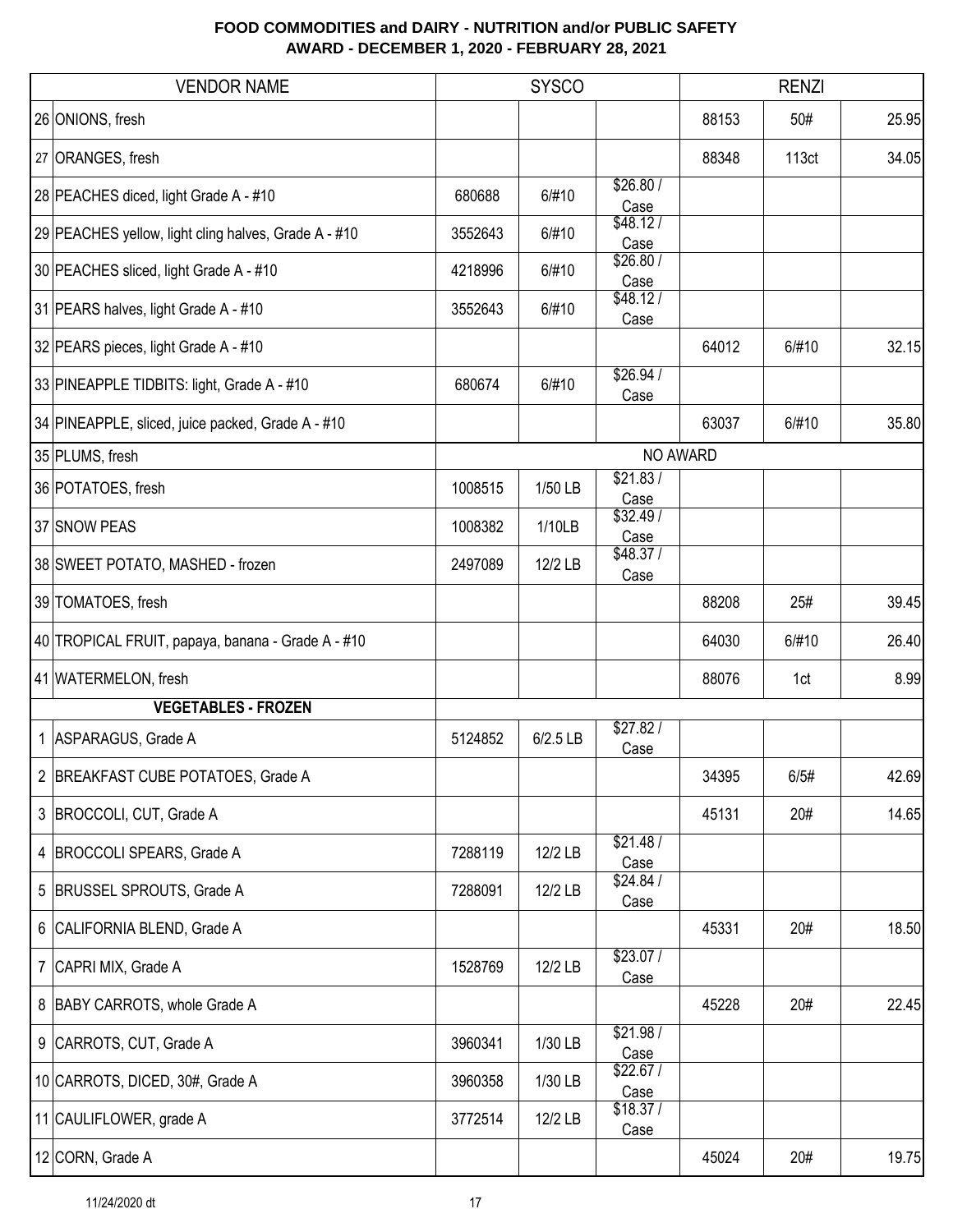| <b>VENDOR NAME</b>                                   |         | <b>SYSCO</b> |                  |          | <b>RENZI</b> |       |
|------------------------------------------------------|---------|--------------|------------------|----------|--------------|-------|
| 26 ONIONS, fresh                                     |         |              |                  | 88153    | 50#          | 25.95 |
| 27 ORANGES, fresh                                    |         |              |                  | 88348    | 113ct        | 34.05 |
| 28 PEACHES diced, light Grade A - #10                | 680688  | 6/#10        | \$26.80/<br>Case |          |              |       |
| 29 PEACHES yellow, light cling halves, Grade A - #10 | 3552643 | 6/#10        | \$48.12/<br>Case |          |              |       |
| 30 PEACHES sliced, light Grade A - #10               | 4218996 | 6/#10        | \$26.80/<br>Case |          |              |       |
| 31 PEARS halves, light Grade A - #10                 | 3552643 | 6/#10        | \$48.12/<br>Case |          |              |       |
| 32 PEARS pieces, light Grade A - #10                 |         |              |                  | 64012    | 6/#10        | 32.15 |
| 33 PINEAPPLE TIDBITS: light, Grade A - #10           | 680674  | 6/#10        | \$26.94/<br>Case |          |              |       |
| 34 PINEAPPLE, sliced, juice packed, Grade A - #10    |         |              |                  | 63037    | 6/#10        | 35.80 |
| 35 PLUMS, fresh                                      |         |              |                  | NO AWARD |              |       |
| 36 POTATOES, fresh                                   | 1008515 | 1/50 LB      | \$21.83/<br>Case |          |              |       |
| 37 SNOW PEAS                                         | 1008382 | 1/10LB       | \$32.49/<br>Case |          |              |       |
| 38 SWEET POTATO, MASHED - frozen                     | 2497089 | 12/2 LB      | \$48.37/<br>Case |          |              |       |
| 39 TOMATOES, fresh                                   |         |              |                  | 88208    | 25#          | 39.45 |
| 40 TROPICAL FRUIT, papaya, banana - Grade A - #10    |         |              |                  | 64030    | 6/#10        | 26.40 |
| 41 WATERMELON, fresh                                 |         |              |                  | 88076    | 1ct          | 8.99  |
| <b>VEGETABLES - FROZEN</b>                           |         |              |                  |          |              |       |
| 1 ASPARAGUS, Grade A                                 | 5124852 | 6/2.5 LB     | \$27.82/<br>Case |          |              |       |
| 2 BREAKFAST CUBE POTATOES, Grade A                   |         |              |                  | 34395    | 6/5#         | 42.69 |
| 3 BROCCOLI, CUT, Grade A                             |         |              |                  | 45131    | 20#          | 14.65 |
| 4   BROCCOLI SPEARS, Grade A                         | 7288119 | 12/2 LB      | \$21.48/<br>Case |          |              |       |
| 5 BRUSSEL SPROUTS, Grade A                           | 7288091 | 12/2 LB      | \$24.84/<br>Case |          |              |       |
| 6 CALIFORNIA BLEND, Grade A                          |         |              |                  | 45331    | 20#          | 18.50 |
| 7 CAPRI MIX, Grade A                                 | 1528769 | 12/2 LB      | \$23.07/<br>Case |          |              |       |
| 8 BABY CARROTS, whole Grade A                        |         |              |                  | 45228    | 20#          | 22.45 |
| 9 CARROTS, CUT, Grade A                              | 3960341 | 1/30 LB      | \$21.98/<br>Case |          |              |       |
| 10 CARROTS, DICED, 30#, Grade A                      | 3960358 | 1/30 LB      | \$22.67/<br>Case |          |              |       |
| 11 CAULIFLOWER, grade A                              | 3772514 | 12/2 LB      | \$18.37/<br>Case |          |              |       |
| 12 CORN, Grade A                                     |         |              |                  | 45024    | 20#          | 19.75 |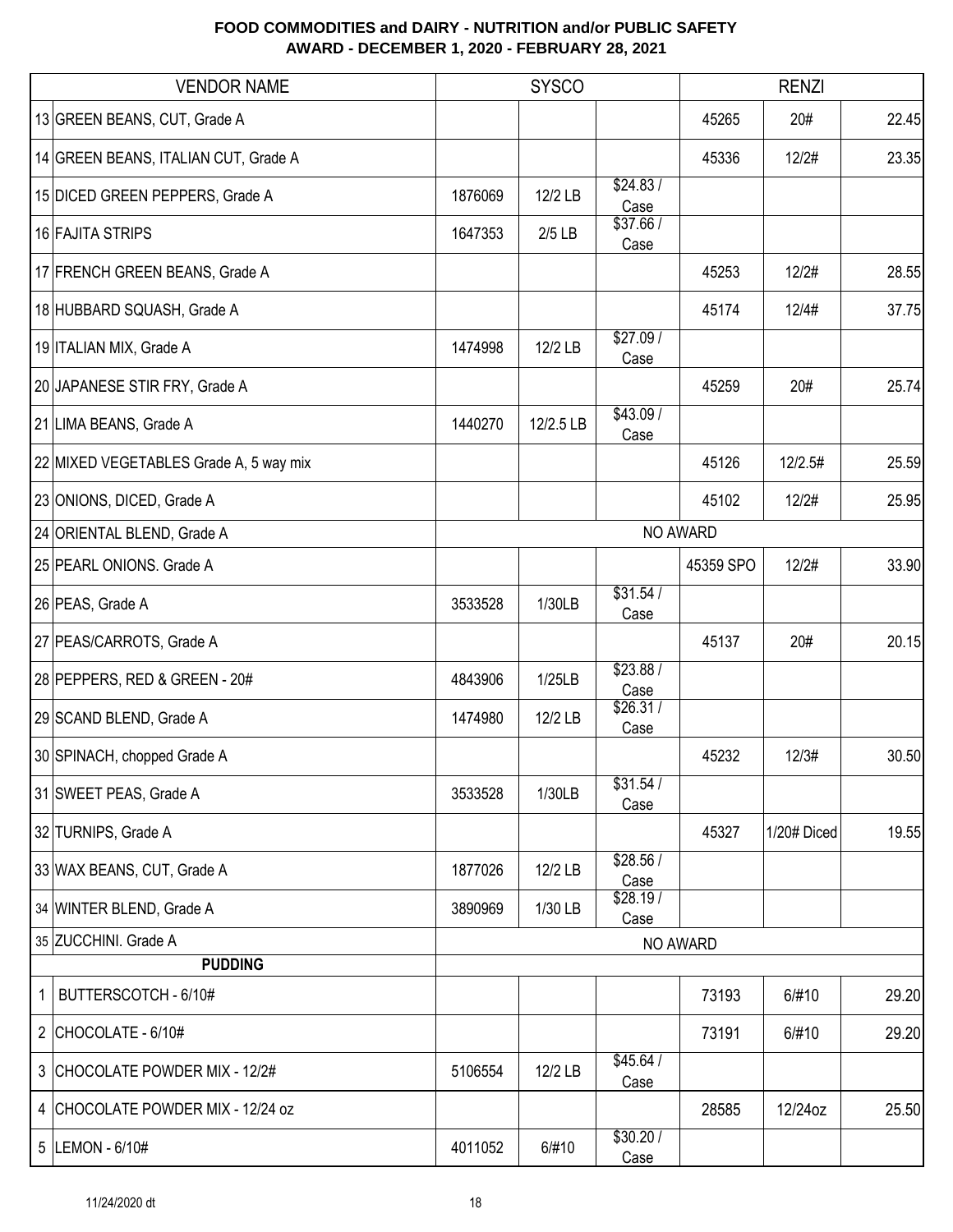| <b>VENDOR NAME</b>                     |         | <b>SYSCO</b> |                   |           | <b>RENZI</b> |       |  |  |
|----------------------------------------|---------|--------------|-------------------|-----------|--------------|-------|--|--|
| 13 GREEN BEANS, CUT, Grade A           |         |              |                   | 45265     | 20#          | 22.45 |  |  |
| 14 GREEN BEANS, ITALIAN CUT, Grade A   |         |              |                   | 45336     | 12/2#        | 23.35 |  |  |
| 15 DICED GREEN PEPPERS, Grade A        | 1876069 | 12/2 LB      | \$24.83/<br>Case  |           |              |       |  |  |
| 16 FAJITA STRIPS                       | 1647353 | $2/5$ LB     | \$37.66 /<br>Case |           |              |       |  |  |
| 17 FRENCH GREEN BEANS, Grade A         |         |              |                   | 45253     | 12/2#        | 28.55 |  |  |
| 18 HUBBARD SQUASH, Grade A             |         |              |                   | 45174     | 12/4#        | 37.75 |  |  |
| 19 ITALIAN MIX, Grade A                | 1474998 | 12/2 LB      | \$27.09/<br>Case  |           |              |       |  |  |
| 20 JAPANESE STIR FRY, Grade A          |         |              |                   | 45259     | 20#          | 25.74 |  |  |
| 21 LIMA BEANS, Grade A                 | 1440270 | 12/2.5 LB    | \$43.09/<br>Case  |           |              |       |  |  |
| 22 MIXED VEGETABLES Grade A, 5 way mix |         |              |                   | 45126     | 12/2.5#      | 25.59 |  |  |
| 23 ONIONS, DICED, Grade A              |         |              |                   | 45102     | 12/2#        | 25.95 |  |  |
| 24 ORIENTAL BLEND, Grade A             |         |              |                   | NO AWARD  |              |       |  |  |
| 25 PEARL ONIONS. Grade A               |         |              |                   | 45359 SPO | 12/2#        | 33.90 |  |  |
| 26 PEAS, Grade A                       | 3533528 | 1/30LB       | \$31.54/<br>Case  |           |              |       |  |  |
| 27 PEAS/CARROTS, Grade A               |         |              |                   | 45137     | 20#          | 20.15 |  |  |
| 28 PEPPERS, RED & GREEN - 20#          | 4843906 | 1/25LB       | \$23.88/<br>Case  |           |              |       |  |  |
| 29 SCAND BLEND, Grade A                | 1474980 | 12/2 LB      | \$26.31/<br>Case  |           |              |       |  |  |
| 30 SPINACH, chopped Grade A            |         |              |                   | 45232     | 12/3#        | 30.50 |  |  |
| 31 SWEET PEAS, Grade A                 | 3533528 | 1/30LB       | \$31.54/<br>Case  |           |              |       |  |  |
| 32 TURNIPS, Grade A                    |         |              |                   | 45327     | 1/20# Diced  | 19.55 |  |  |
| 33 WAX BEANS, CUT, Grade A             | 1877026 | 12/2 LB      | \$28.56/<br>Case  |           |              |       |  |  |
| 34 WINTER BLEND, Grade A               | 3890969 | 1/30 LB      | \$28.19/<br>Case  |           |              |       |  |  |
| 35 ZUCCHINI. Grade A                   |         |              |                   | NO AWARD  |              |       |  |  |
| <b>PUDDING</b>                         |         |              |                   |           |              |       |  |  |
| BUTTERSCOTCH - 6/10#                   |         |              |                   | 73193     | 6/#10        | 29.20 |  |  |
| 2 CHOCOLATE - 6/10#                    |         |              |                   | 73191     | 6/#10        | 29.20 |  |  |
| 3 CHOCOLATE POWDER MIX - 12/2#         | 5106554 | 12/2 LB      | \$45.64/<br>Case  |           |              |       |  |  |
| 4 CHOCOLATE POWDER MIX - 12/24 oz      |         |              |                   | 28585     | 12/24oz      | 25.50 |  |  |
| 5  LEMON - 6/10#                       | 4011052 | 6/#10        | \$30.20 /<br>Case |           |              |       |  |  |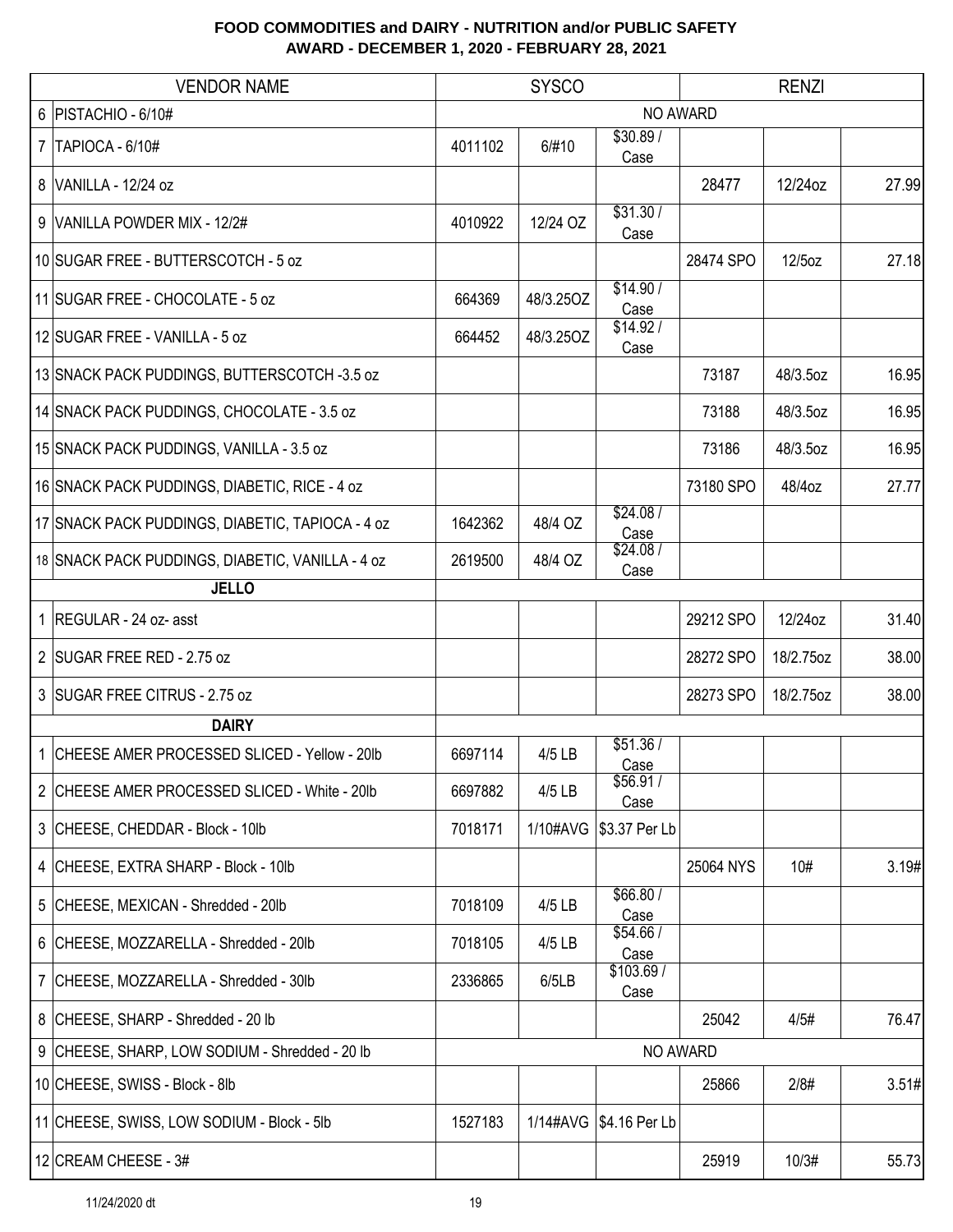| <b>VENDOR NAME</b> |                                                  | <b>SYSCO</b><br><b>RENZI</b> |           |                          |           |           |       |  |
|--------------------|--------------------------------------------------|------------------------------|-----------|--------------------------|-----------|-----------|-------|--|
|                    | 6   PISTACHIO - 6/10#                            |                              |           |                          | NO AWARD  |           |       |  |
| 7 <sup>1</sup>     | TAPIOCA - 6/10#                                  | 4011102                      | 6/#10     | \$30.89/<br>Case         |           |           |       |  |
| 8 <sup>1</sup>     | VANILLA - 12/24 oz                               |                              |           |                          | 28477     | 12/24oz   | 27.99 |  |
| 9 <sup>1</sup>     | VANILLA POWDER MIX - 12/2#                       | 4010922                      | 12/24 OZ  | \$31.30/<br>Case         |           |           |       |  |
|                    | 10 SUGAR FREE - BUTTERSCOTCH - 5 oz              |                              |           |                          | 28474 SPO | 12/5oz    | 27.18 |  |
|                    | 11 SUGAR FREE - CHOCOLATE - 5 oz                 | 664369                       | 48/3.25OZ | \$14.90/<br>Case         |           |           |       |  |
|                    | 12 SUGAR FREE - VANILLA - 5 oz                   | 664452                       | 48/3.25OZ | \$14.92/<br>Case         |           |           |       |  |
|                    | 13 SNACK PACK PUDDINGS, BUTTERSCOTCH -3.5 oz     |                              |           |                          | 73187     | 48/3.5oz  | 16.95 |  |
|                    | 14 SNACK PACK PUDDINGS, CHOCOLATE - 3.5 oz       |                              |           |                          | 73188     | 48/3.5oz  | 16.95 |  |
|                    | 15 SNACK PACK PUDDINGS, VANILLA - 3.5 oz         |                              |           |                          | 73186     | 48/3.5oz  | 16.95 |  |
|                    | 16 SNACK PACK PUDDINGS, DIABETIC, RICE - 4 oz    |                              |           |                          | 73180 SPO | 48/4oz    | 27.77 |  |
|                    | 17 SNACK PACK PUDDINGS, DIABETIC, TAPIOCA - 4 oz | 1642362                      | 48/4 OZ   | \$24.08/<br>Case         |           |           |       |  |
|                    | 18 SNACK PACK PUDDINGS, DIABETIC, VANILLA - 4 oz | 2619500                      | 48/4 OZ   | \$24.08/<br>Case         |           |           |       |  |
| <b>JELLO</b>       |                                                  |                              |           |                          |           |           |       |  |
|                    | 1 REGULAR - 24 oz- asst                          |                              |           |                          | 29212 SPO | 12/24oz   | 31.40 |  |
|                    | 2 SUGAR FREE RED - 2.75 oz                       |                              |           |                          | 28272 SPO | 18/2.75oz | 38.00 |  |
|                    | 3 SUGAR FREE CITRUS - 2.75 oz                    |                              |           |                          | 28273 SPO | 18/2.75oz | 38.00 |  |
|                    | <b>DAIRY</b>                                     |                              |           |                          |           |           |       |  |
|                    | 1 CHEESE AMER PROCESSED SLICED - Yellow - 20lb   | 6697114                      | 4/5 LB    | \$51.36/<br>Case         |           |           |       |  |
|                    | 2 CHEESE AMER PROCESSED SLICED - White - 20lb    | 6697882                      | 4/5 LB    | \$56.91/<br>Case         |           |           |       |  |
|                    | 3 CHEESE, CHEDDAR - Block - 10lb                 | 7018171                      | 1/10#AVG  | \$3.37 Per Lb            |           |           |       |  |
|                    | 4 CHEESE, EXTRA SHARP - Block - 10lb             |                              |           |                          | 25064 NYS | 10#       | 3.19# |  |
|                    | 5 CHEESE, MEXICAN - Shredded - 20lb              | 7018109                      | 4/5 LB    | \$66.80 /<br>Case        |           |           |       |  |
|                    | 6 CHEESE, MOZZARELLA - Shredded - 20lb           | 7018105                      | 4/5 LB    | \$54.66/<br>Case         |           |           |       |  |
|                    | 7 CHEESE, MOZZARELLA - Shredded - 30lb           | 2336865                      | 6/5LB     | \$103.69/<br>Case        |           |           |       |  |
|                    | 8 CHEESE, SHARP - Shredded - 20 lb               |                              |           |                          | 25042     | 4/5#      | 76.47 |  |
|                    | 9 CHEESE, SHARP, LOW SODIUM - Shredded - 20 lb   |                              |           |                          | NO AWARD  |           |       |  |
|                    | 10 CHEESE, SWISS - Block - 8lb                   |                              |           |                          | 25866     | 2/8#      | 3.51# |  |
|                    | 11 CHEESE, SWISS, LOW SODIUM - Block - 5lb       | 1527183                      |           | 1/14#AVG   \$4.16 Per Lb |           |           |       |  |
|                    | 12 CREAM CHEESE - 3#                             |                              |           |                          | 25919     | 10/3#     | 55.73 |  |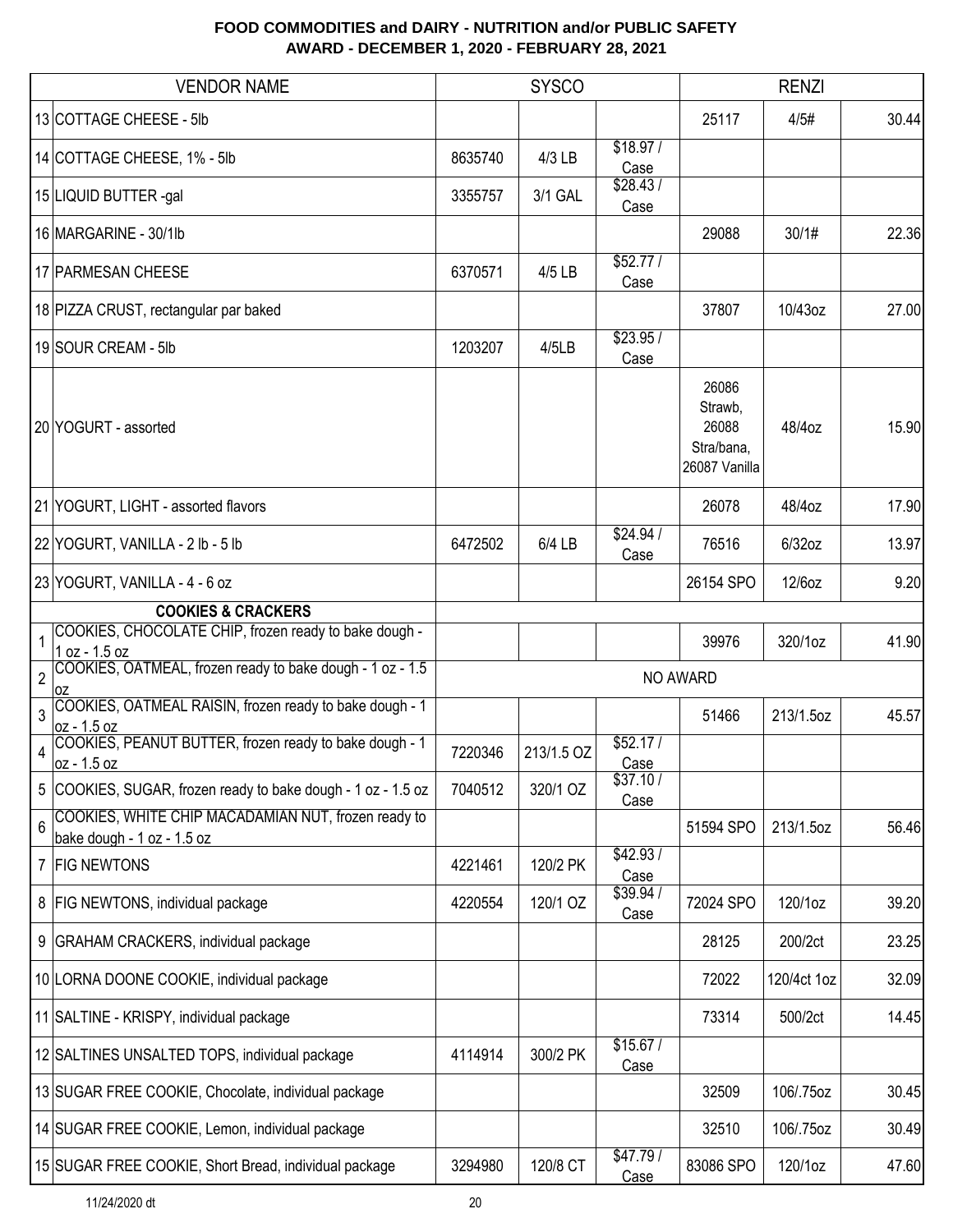|                | <b>VENDOR NAME</b>                                                                |         | <b>SYSCO</b> |                   |                                                          | <b>RENZI</b> |       |
|----------------|-----------------------------------------------------------------------------------|---------|--------------|-------------------|----------------------------------------------------------|--------------|-------|
|                | 13 COTTAGE CHEESE - 5lb                                                           |         |              |                   | 25117                                                    | 4/5#         | 30.44 |
|                | 14 COTTAGE CHEESE, 1% - 5lb                                                       | 8635740 | 4/3 LB       | \$18.97/<br>Case  |                                                          |              |       |
|                | 15 LIQUID BUTTER -gal                                                             | 3355757 | 3/1 GAL      | \$28.43/<br>Case  |                                                          |              |       |
|                | 16 MARGARINE - 30/1lb                                                             |         |              |                   | 29088                                                    | 30/1#        | 22.36 |
|                | 17 PARMESAN CHEESE                                                                | 6370571 | 4/5 LB       | \$52.77/<br>Case  |                                                          |              |       |
|                | 18 PIZZA CRUST, rectangular par baked                                             |         |              |                   | 37807                                                    | 10/43oz      | 27.00 |
|                | 19 SOUR CREAM - 5lb                                                               | 1203207 | 4/5LB        | \$23.95/<br>Case  |                                                          |              |       |
|                | 20 YOGURT - assorted                                                              |         |              |                   | 26086<br>Strawb,<br>26088<br>Stra/bana,<br>26087 Vanilla | 48/4oz       | 15.90 |
|                | 21 YOGURT, LIGHT - assorted flavors                                               |         |              |                   | 26078                                                    | 48/4oz       | 17.90 |
|                | 22 YOGURT, VANILLA - 2 lb - 5 lb                                                  | 6472502 | 6/4 LB       | \$24.94/<br>Case  | 76516                                                    | $6/32$ oz    | 13.97 |
|                | 23 YOGURT, VANILLA - 4 - 6 oz                                                     |         |              |                   | 26154 SPO                                                | 12/6oz       | 9.20  |
|                | <b>COOKIES &amp; CRACKERS</b>                                                     |         |              |                   |                                                          |              |       |
| $\mathbf{1}$   | COOKIES, CHOCOLATE CHIP, frozen ready to bake dough -<br>1 oz - 1.5 oz            |         |              |                   | 39976                                                    | 320/1oz      | 41.90 |
|                | 2 COOKIES, OATMEAL, frozen ready to bake dough - 1 oz - 1.5<br>0Z                 |         |              |                   | NO AWARD                                                 |              |       |
| 3              | COOKIES, OATMEAL RAISIN, frozen ready to bake dough - 1<br>oz - 1.5 oz            |         |              |                   | 51466                                                    | 213/1.5oz    | 45.57 |
| $\overline{4}$ | COOKIES, PEANUT BUTTER, frozen ready to bake dough - 1<br>$oz - 1.5 oz$           | 7220346 | 213/1.5 OZ   | \$52.17/<br>Case  |                                                          |              |       |
|                | 5 COOKIES, SUGAR, frozen ready to bake dough - 1 oz - 1.5 oz                      | 7040512 | 320/1 OZ     | \$37.10/<br>Case  |                                                          |              |       |
| 6              | COOKIES, WHITE CHIP MACADAMIAN NUT, frozen ready to<br>bake dough - 1 oz - 1.5 oz |         |              |                   | 51594 SPO                                                | 213/1.5oz    | 56.46 |
|                | 7 FIG NEWTONS                                                                     | 4221461 | 120/2 PK     | \$42.93/<br>Case  |                                                          |              |       |
|                | 8   FIG NEWTONS, individual package                                               | 4220554 | 120/1 OZ     | \$39.94 /<br>Case | 72024 SPO                                                | 120/1oz      | 39.20 |
|                | 9 GRAHAM CRACKERS, individual package                                             |         |              |                   | 28125                                                    | 200/2ct      | 23.25 |
|                | 10 LORNA DOONE COOKIE, individual package                                         |         |              |                   | 72022                                                    | 120/4ct 1oz  | 32.09 |
|                | 11 SALTINE - KRISPY, individual package                                           |         |              |                   | 73314                                                    | 500/2ct      | 14.45 |
|                | 12 SALTINES UNSALTED TOPS, individual package                                     | 4114914 | 300/2 PK     | \$15.67/<br>Case  |                                                          |              |       |
|                | 13 SUGAR FREE COOKIE, Chocolate, individual package                               |         |              |                   | 32509                                                    | 106/.75oz    | 30.45 |
|                | 14 SUGAR FREE COOKIE, Lemon, individual package                                   |         |              |                   | 32510                                                    | 106/.75oz    | 30.49 |
|                | 15 SUGAR FREE COOKIE, Short Bread, individual package                             | 3294980 | 120/8 CT     | \$47.79/<br>Case  | 83086 SPO                                                | 120/1oz      | 47.60 |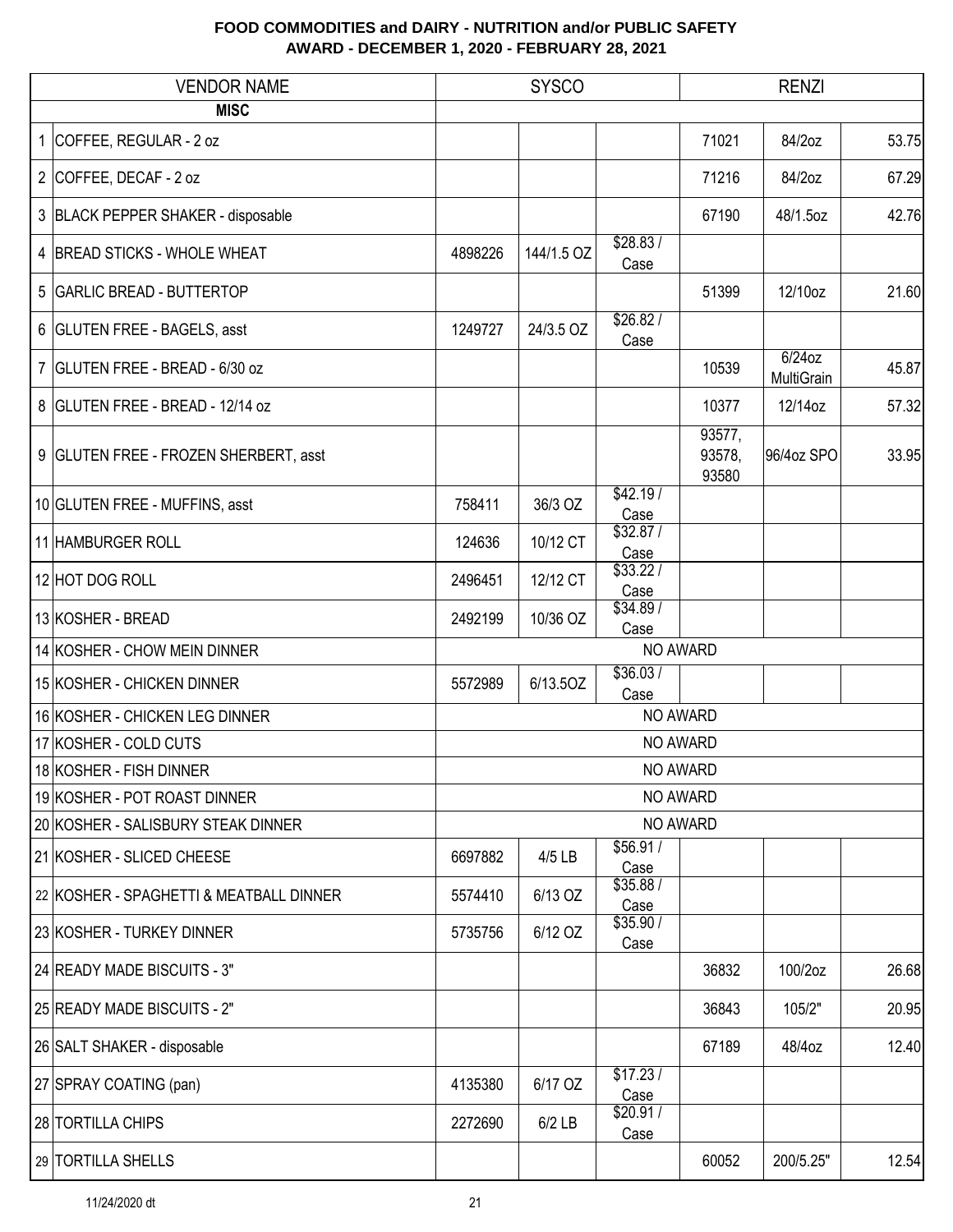| <b>VENDOR NAME</b> |                                         | <b>SYSCO</b> |            |                   | <b>RENZI</b>              |                         |       |  |
|--------------------|-----------------------------------------|--------------|------------|-------------------|---------------------------|-------------------------|-------|--|
|                    | <b>MISC</b>                             |              |            |                   |                           |                         |       |  |
|                    | 1 COFFEE, REGULAR - 2 oz                |              |            |                   | 71021                     | 84/2oz                  | 53.75 |  |
|                    | 2 COFFEE, DECAF - 2 oz                  |              |            |                   | 71216                     | 84/2oz                  | 67.29 |  |
|                    | 3 BLACK PEPPER SHAKER - disposable      |              |            |                   | 67190                     | 48/1.5oz                | 42.76 |  |
|                    | 4 BREAD STICKS - WHOLE WHEAT            | 4898226      | 144/1.5 OZ | \$28.83/<br>Case  |                           |                         |       |  |
|                    | 5 GARLIC BREAD - BUTTERTOP              |              |            |                   | 51399                     | 12/10oz                 | 21.60 |  |
|                    | 6 GLUTEN FREE - BAGELS, asst            | 1249727      | 24/3.5 OZ  | \$26.82/<br>Case  |                           |                         |       |  |
|                    | 7 GLUTEN FREE - BREAD - 6/30 oz         |              |            |                   | 10539                     | $6/24$ oz<br>MultiGrain | 45.87 |  |
|                    | 8 GLUTEN FREE - BREAD - 12/14 oz        |              |            |                   | 10377                     | 12/14oz                 | 57.32 |  |
|                    | 9 GLUTEN FREE - FROZEN SHERBERT, asst   |              |            |                   | 93577,<br>93578,<br>93580 | 96/4oz SPO              | 33.95 |  |
|                    | 10 GLUTEN FREE - MUFFINS, asst          | 758411       | 36/3 OZ    | \$42.19/<br>Case  |                           |                         |       |  |
|                    | 11 HAMBURGER ROLL                       | 124636       | 10/12 CT   | \$32.87/<br>Case  |                           |                         |       |  |
|                    | 12 HOT DOG ROLL                         | 2496451      | 12/12 CT   | \$33.22/<br>Case  |                           |                         |       |  |
|                    | 13 KOSHER - BREAD                       | 2492199      | 10/36 OZ   | \$34.89/<br>Case  |                           |                         |       |  |
|                    | 14 KOSHER - CHOW MEIN DINNER            |              |            |                   | NO AWARD                  |                         |       |  |
|                    | 15 KOSHER - CHICKEN DINNER              | 5572989      | 6/13.5OZ   | \$36.03/<br>Case  |                           |                         |       |  |
|                    | 16 KOSHER - CHICKEN LEG DINNER          |              |            |                   | NO AWARD                  |                         |       |  |
|                    | 17 KOSHER - COLD CUTS                   |              |            |                   | NO AWARD                  |                         |       |  |
|                    | 18 KOSHER - FISH DINNER                 |              |            |                   | NO AWARD                  |                         |       |  |
|                    | 19 KOSHER - POT ROAST DINNER            |              |            |                   | NO AWARD                  |                         |       |  |
|                    | 20 KOSHER - SALISBURY STEAK DINNER      |              |            |                   | NO AWARD                  |                         |       |  |
|                    | 21 KOSHER - SLICED CHEESE               | 6697882      | 4/5 LB     | \$56.91 /<br>Case |                           |                         |       |  |
|                    | 22 KOSHER - SPAGHETTI & MEATBALL DINNER | 5574410      | 6/13 OZ    | \$35.88/<br>Case  |                           |                         |       |  |
|                    | 23 KOSHER - TURKEY DINNER               | 5735756      | 6/12 OZ    | \$35.90/<br>Case  |                           |                         |       |  |
|                    | 24 READY MADE BISCUITS - 3"             |              |            |                   | 36832                     | 100/2oz                 | 26.68 |  |
|                    | 25 READY MADE BISCUITS - 2"             |              |            |                   | 36843                     | 105/2"                  | 20.95 |  |
|                    | 26 SALT SHAKER - disposable             |              |            |                   | 67189                     | 48/4oz                  | 12.40 |  |
|                    | 27 SPRAY COATING (pan)                  | 4135380      | 6/17 OZ    | \$17.23/<br>Case  |                           |                         |       |  |
|                    | 28 TORTILLA CHIPS                       | 2272690      | $6/2$ LB   | \$20.91/<br>Case  |                           |                         |       |  |
|                    | 29 TORTILLA SHELLS                      |              |            |                   | 60052                     | 200/5.25"               | 12.54 |  |